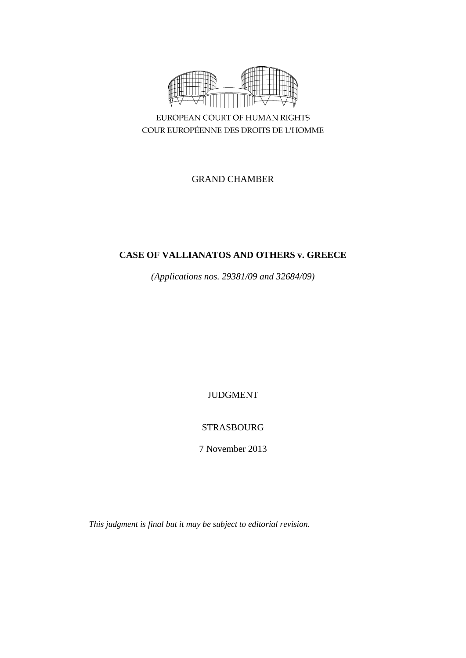

EUROPEAN COURT OF HUMAN RIGHTS COUR EUROPÉENNE DES DROITS DE L'HOMME

GRAND CHAMBER

# **CASE OF VALLIANATOS AND OTHERS v. GREECE**

*(Applications nos. 29381/09 and 32684/09)*

JUDGMENT

STRASBOURG

7 November 2013

*This judgment is final but it may be subject to editorial revision.*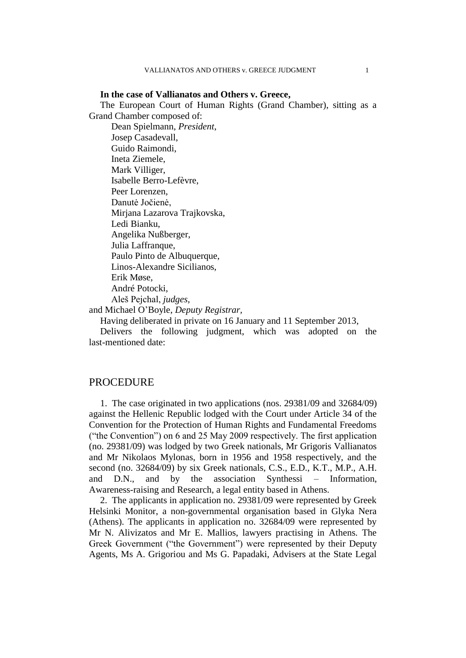**In the case of Vallianatos and Others v. Greece,** The European Court of Human Rights (Grand Chamber), sitting as a Grand Chamber composed of: Dean Spielmann*, President*, Josep Casadevall, Guido Raimondi, Ineta Ziemele, Mark Villiger, Isabelle Berro-Lefèvre, Peer Lorenzen, Danutė Jočienė, Mirjana Lazarova Trajkovska, Ledi Bianku, Angelika Nußberger, Julia Laffranque, Paulo Pinto de Albuquerque, Linos-Alexandre Sicilianos, Erik Møse, André Potocki, Aleš Pejchal, *judges,* and Michael O'Boyle, *Deputy Registrar,* Having deliberated in private on 16 January and 11 September 2013,

Delivers the following judgment, which was adopted on the last-mentioned date:

# **PROCEDURE**

1. The case originated in two applications (nos. 29381/09 and 32684/09) against the Hellenic Republic lodged with the Court under Article 34 of the Convention for the Protection of Human Rights and Fundamental Freedoms ("the Convention") on 6 and 25 May 2009 respectively. The first application (no. 29381/09) was lodged by two Greek nationals, Mr Grigoris Vallianatos and Mr Nikolaos Mylonas, born in 1956 and 1958 respectively, and the second (no. 32684/09) by six Greek nationals, C.S., E.D., K.T., M.P., A.H. and D.N., and by the association Synthessi – Information, Awareness-raising and Research, a legal entity based in Athens.

2. The applicants in application no. 29381/09 were represented by Greek Helsinki Monitor, a non-governmental organisation based in Glyka Nera (Athens). The applicants in application no. 32684/09 were represented by Mr N. Alivizatos and Mr E. Mallios, lawyers practising in Athens. The Greek Government ("the Government") were represented by their Deputy Agents, Ms A. Grigoriou and Ms G. Papadaki, Advisers at the State Legal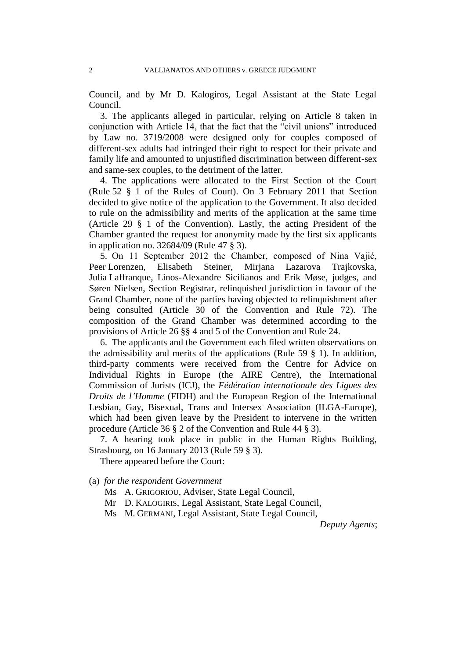Council, and by Mr D. Kalogiros, Legal Assistant at the State Legal Council.

3. The applicants alleged in particular, relying on Article 8 taken in conjunction with Article 14, that the fact that the "civil unions" introduced by Law no. 3719/2008 were designed only for couples composed of different-sex adults had infringed their right to respect for their private and family life and amounted to unjustified discrimination between different-sex and same-sex couples, to the detriment of the latter.

4. The applications were allocated to the First Section of the Court (Rule 52 § 1 of the Rules of Court). On 3 February 2011 that Section decided to give notice of the application to the Government. It also decided to rule on the admissibility and merits of the application at the same time (Article 29 § 1 of the Convention). Lastly, the acting President of the Chamber granted the request for anonymity made by the first six applicants in application no. 32684/09 (Rule 47 § 3).

5. On 11 September 2012 the Chamber, composed of Nina Vajić, Peer Lorenzen, Elisabeth Steiner, Mirjana Lazarova Trajkovska, Julia Laffranque, Linos-Alexandre Sicilianos and Erik Møse, judges, and Søren Nielsen, Section Registrar, relinquished jurisdiction in favour of the Grand Chamber, none of the parties having objected to relinquishment after being consulted (Article 30 of the Convention and Rule 72). The composition of the Grand Chamber was determined according to the provisions of Article 26 §§ 4 and 5 of the Convention and Rule 24.

6. The applicants and the Government each filed written observations on the admissibility and merits of the applications (Rule 59  $\S$  1). In addition, third-party comments were received from the Centre for Advice on Individual Rights in Europe (the AIRE Centre), the International Commission of Jurists (ICJ), the *Fédération internationale des Ligues des Droits de l'Homme* (FIDH) and the European Region of the International Lesbian, Gay, Bisexual, Trans and Intersex Association (ILGA-Europe), which had been given leave by the President to intervene in the written procedure (Article 36 § 2 of the Convention and Rule 44 § 3).

7. A hearing took place in public in the Human Rights Building, Strasbourg, on 16 January 2013 (Rule 59 § 3).

There appeared before the Court:

(a) *for the respondent Government*

- Ms A. GRIGORIOU, Adviser, State Legal Council,
- Mr D. KALOGIRIS, Legal Assistant, State Legal Council,
- Ms M. GERMANI, Legal Assistant, State Legal Council,

*Deputy Agents*;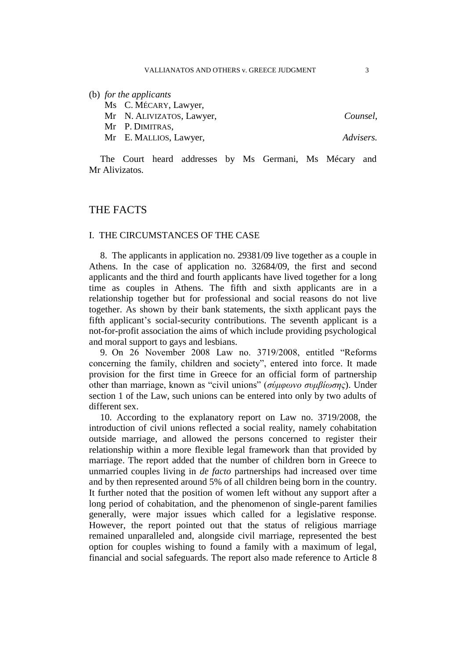#### (b) *for the applicants*

Ms C. MÉCARY, Lawyer,

Mr N. ALIVIZATOS, Lawyer, *Counsel*,

Mr P. DIMITRAS,

Mr E. MALLIOS, Lawyer, *Advisers.*

The Court heard addresses by Ms Germani, Ms Mécary and Mr Alivizatos.

# THE FACTS

# I. THE CIRCUMSTANCES OF THE CASE

8. The applicants in application no. 29381/09 live together as a couple in Athens. In the case of application no. 32684/09, the first and second applicants and the third and fourth applicants have lived together for a long time as couples in Athens. The fifth and sixth applicants are in a relationship together but for professional and social reasons do not live together. As shown by their bank statements, the sixth applicant pays the fifth applicant's social-security contributions. The seventh applicant is a not-for-profit association the aims of which include providing psychological and moral support to gays and lesbians.

9. On 26 November 2008 Law no. 3719/2008, entitled "Reforms concerning the family, children and society", entered into force. It made provision for the first time in Greece for an official form of partnership other than marriage, known as "civil unions" (*σύμφωνο συμβίωσης*). Under section 1 of the Law, such unions can be entered into only by two adults of different sex.

10. According to the explanatory report on Law no. 3719/2008, the introduction of civil unions reflected a social reality, namely cohabitation outside marriage, and allowed the persons concerned to register their relationship within a more flexible legal framework than that provided by marriage. The report added that the number of children born in Greece to unmarried couples living in *de facto* partnerships had increased over time and by then represented around 5% of all children being born in the country. It further noted that the position of women left without any support after a long period of cohabitation, and the phenomenon of single-parent families generally, were major issues which called for a legislative response. However, the report pointed out that the status of religious marriage remained unparalleled and, alongside civil marriage, represented the best option for couples wishing to found a family with a maximum of legal, financial and social safeguards. The report also made reference to Article 8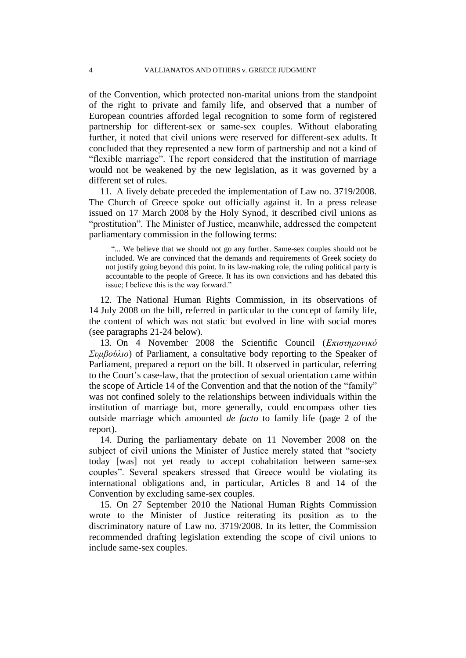of the Convention, which protected non-marital unions from the standpoint of the right to private and family life, and observed that a number of European countries afforded legal recognition to some form of registered partnership for different-sex or same-sex couples. Without elaborating further, it noted that civil unions were reserved for different-sex adults. It concluded that they represented a new form of partnership and not a kind of "flexible marriage". The report considered that the institution of marriage would not be weakened by the new legislation, as it was governed by a different set of rules.

11. A lively debate preceded the implementation of Law no. 3719/2008. The Church of Greece spoke out officially against it. In a press release issued on 17 March 2008 by the Holy Synod, it described civil unions as "prostitution". The Minister of Justice, meanwhile, addressed the competent parliamentary commission in the following terms:

"... We believe that we should not go any further. Same-sex couples should not be included. We are convinced that the demands and requirements of Greek society do not justify going beyond this point. In its law-making role, the ruling political party is accountable to the people of Greece. It has its own convictions and has debated this issue; I believe this is the way forward."

12. The National Human Rights Commission, in its observations of 14 July 2008 on the bill, referred in particular to the concept of family life, the content of which was not static but evolved in line with social mores (see paragraphs 21-24 below).

13. On 4 November 2008 the Scientific Council (*Επιστημονικό Συμβούλιο*) of Parliament, a consultative body reporting to the Speaker of Parliament, prepared a report on the bill. It observed in particular, referring to the Court's case-law, that the protection of sexual orientation came within the scope of Article 14 of the Convention and that the notion of the "family" was not confined solely to the relationships between individuals within the institution of marriage but, more generally, could encompass other ties outside marriage which amounted *de facto* to family life (page 2 of the report).

14. During the parliamentary debate on 11 November 2008 on the subject of civil unions the Minister of Justice merely stated that "society today [was] not yet ready to accept cohabitation between same-sex couples". Several speakers stressed that Greece would be violating its international obligations and, in particular, Articles 8 and 14 of the Convention by excluding same-sex couples.

15. On 27 September 2010 the National Human Rights Commission wrote to the Minister of Justice reiterating its position as to the discriminatory nature of Law no. 3719/2008. In its letter, the Commission recommended drafting legislation extending the scope of civil unions to include same-sex couples.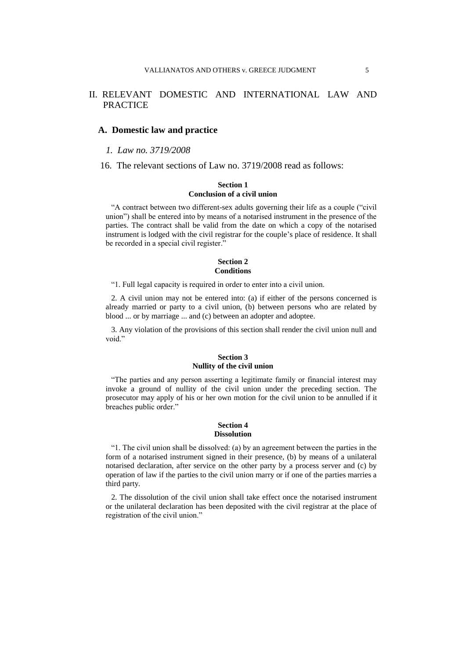# II. RELEVANT DOMESTIC AND INTERNATIONAL LAW AND PRACTICE

## **A. Domestic law and practice**

## *1. Law no. 3719/2008*

16. The relevant sections of Law no. 3719/2008 read as follows:

## **Section 1 Conclusion of a civil union**

"A contract between two different-sex adults governing their life as a couple ("civil union") shall be entered into by means of a notarised instrument in the presence of the parties. The contract shall be valid from the date on which a copy of the notarised instrument is lodged with the civil registrar for the couple's place of residence. It shall be recorded in a special civil register."

#### **Section 2 Conditions**

"1. Full legal capacity is required in order to enter into a civil union.

2. A civil union may not be entered into: (a) if either of the persons concerned is already married or party to a civil union, (b) between persons who are related by blood ... or by marriage ... and (c) between an adopter and adoptee.

3. Any violation of the provisions of this section shall render the civil union null and void."

## **Section 3 Nullity of the civil union**

"The parties and any person asserting a legitimate family or financial interest may invoke a ground of nullity of the civil union under the preceding section. The prosecutor may apply of his or her own motion for the civil union to be annulled if it breaches public order."

#### **Section 4 Dissolution**

"1. The civil union shall be dissolved: (a) by an agreement between the parties in the form of a notarised instrument signed in their presence, (b) by means of a unilateral notarised declaration, after service on the other party by a process server and (c) by operation of law if the parties to the civil union marry or if one of the parties marries a third party.

2. The dissolution of the civil union shall take effect once the notarised instrument or the unilateral declaration has been deposited with the civil registrar at the place of registration of the civil union."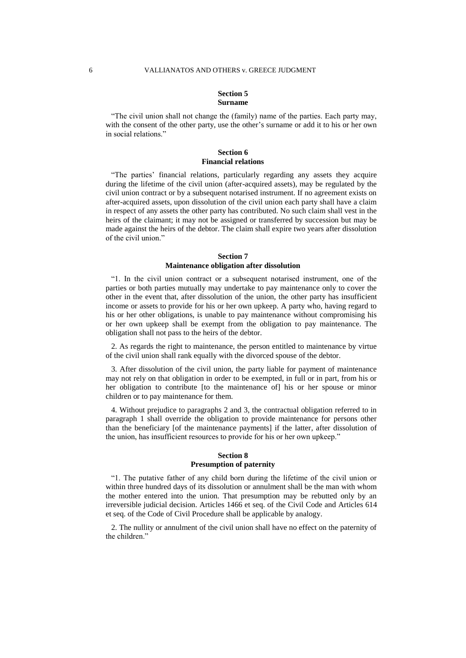#### **Section 5 Surname**

"The civil union shall not change the (family) name of the parties. Each party may, with the consent of the other party, use the other's surname or add it to his or her own in social relations."

#### **Section 6 Financial relations**

"The parties' financial relations, particularly regarding any assets they acquire during the lifetime of the civil union (after-acquired assets), may be regulated by the civil union contract or by a subsequent notarised instrument. If no agreement exists on after-acquired assets, upon dissolution of the civil union each party shall have a claim in respect of any assets the other party has contributed. No such claim shall vest in the heirs of the claimant; it may not be assigned or transferred by succession but may be made against the heirs of the debtor. The claim shall expire two years after dissolution of the civil union."

#### **Section 7 Maintenance obligation after dissolution**

"1. In the civil union contract or a subsequent notarised instrument, one of the parties or both parties mutually may undertake to pay maintenance only to cover the other in the event that, after dissolution of the union, the other party has insufficient income or assets to provide for his or her own upkeep. A party who, having regard to his or her other obligations, is unable to pay maintenance without compromising his or her own upkeep shall be exempt from the obligation to pay maintenance. The obligation shall not pass to the heirs of the debtor.

2. As regards the right to maintenance, the person entitled to maintenance by virtue of the civil union shall rank equally with the divorced spouse of the debtor.

3. After dissolution of the civil union, the party liable for payment of maintenance may not rely on that obligation in order to be exempted, in full or in part, from his or her obligation to contribute [to the maintenance of] his or her spouse or minor children or to pay maintenance for them.

4. Without prejudice to paragraphs 2 and 3, the contractual obligation referred to in paragraph 1 shall override the obligation to provide maintenance for persons other than the beneficiary [of the maintenance payments] if the latter, after dissolution of the union, has insufficient resources to provide for his or her own upkeep."

#### **Section 8 Presumption of paternity**

"1. The putative father of any child born during the lifetime of the civil union or within three hundred days of its dissolution or annulment shall be the man with whom the mother entered into the union. That presumption may be rebutted only by an irreversible judicial decision. Articles 1466 et seq. of the Civil Code and Articles 614 et seq. of the Code of Civil Procedure shall be applicable by analogy.

2. The nullity or annulment of the civil union shall have no effect on the paternity of the children."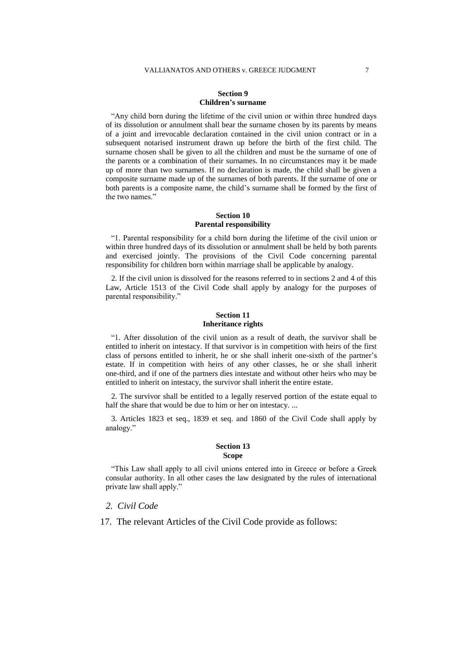### **Section 9 Children's surname**

"Any child born during the lifetime of the civil union or within three hundred days of its dissolution or annulment shall bear the surname chosen by its parents by means of a joint and irrevocable declaration contained in the civil union contract or in a subsequent notarised instrument drawn up before the birth of the first child. The surname chosen shall be given to all the children and must be the surname of one of the parents or a combination of their surnames. In no circumstances may it be made up of more than two surnames. If no declaration is made, the child shall be given a composite surname made up of the surnames of both parents. If the surname of one or both parents is a composite name, the child's surname shall be formed by the first of the two names."

#### **Section 10 Parental responsibility**

"1. Parental responsibility for a child born during the lifetime of the civil union or within three hundred days of its dissolution or annulment shall be held by both parents and exercised jointly. The provisions of the Civil Code concerning parental responsibility for children born within marriage shall be applicable by analogy.

2. If the civil union is dissolved for the reasons referred to in sections 2 and 4 of this Law, Article 1513 of the Civil Code shall apply by analogy for the purposes of parental responsibility."

#### **Section 11 Inheritance rights**

"1. After dissolution of the civil union as a result of death, the survivor shall be entitled to inherit on intestacy. If that survivor is in competition with heirs of the first class of persons entitled to inherit, he or she shall inherit one-sixth of the partner's estate. If in competition with heirs of any other classes, he or she shall inherit one-third, and if one of the partners dies intestate and without other heirs who may be entitled to inherit on intestacy, the survivor shall inherit the entire estate.

2. The survivor shall be entitled to a legally reserved portion of the estate equal to half the share that would be due to him or her on intestacy. ...

3. Articles 1823 et seq., 1839 et seq. and 1860 of the Civil Code shall apply by analogy."

#### **Section 13 Scope**

"This Law shall apply to all civil unions entered into in Greece or before a Greek consular authority. In all other cases the law designated by the rules of international private law shall apply."

## *2. Civil Code*

17. The relevant Articles of the Civil Code provide as follows: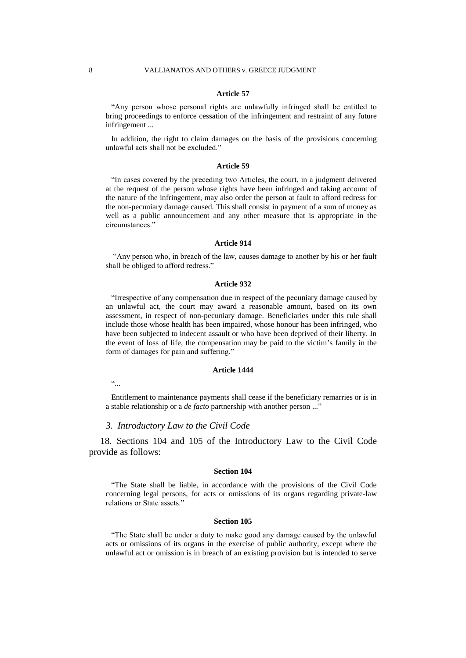#### **Article 57**

"Any person whose personal rights are unlawfully infringed shall be entitled to bring proceedings to enforce cessation of the infringement and restraint of any future infringement ...

In addition, the right to claim damages on the basis of the provisions concerning unlawful acts shall not be excluded."

#### **Article 59**

"In cases covered by the preceding two Articles, the court, in a judgment delivered at the request of the person whose rights have been infringed and taking account of the nature of the infringement, may also order the person at fault to afford redress for the non-pecuniary damage caused. This shall consist in payment of a sum of money as well as a public announcement and any other measure that is appropriate in the circumstances."

#### **Article 914**

"Any person who, in breach of the law, causes damage to another by his or her fault shall be obliged to afford redress."

#### **Article 932**

"Irrespective of any compensation due in respect of the pecuniary damage caused by an unlawful act, the court may award a reasonable amount, based on its own assessment, in respect of non-pecuniary damage. Beneficiaries under this rule shall include those whose health has been impaired, whose honour has been infringed, who have been subjected to indecent assault or who have been deprived of their liberty. In the event of loss of life, the compensation may be paid to the victim's family in the form of damages for pain and suffering."

#### **Article 1444**

 $\ddot{\cdots}$ 

Entitlement to maintenance payments shall cease if the beneficiary remarries or is in a stable relationship or a *de facto* partnership with another person ..."

## *3. Introductory Law to the Civil Code*

18. Sections 104 and 105 of the Introductory Law to the Civil Code provide as follows:

#### **Section 104**

"The State shall be liable, in accordance with the provisions of the Civil Code concerning legal persons, for acts or omissions of its organs regarding private-law relations or State assets."

#### **Section 105**

"The State shall be under a duty to make good any damage caused by the unlawful acts or omissions of its organs in the exercise of public authority, except where the unlawful act or omission is in breach of an existing provision but is intended to serve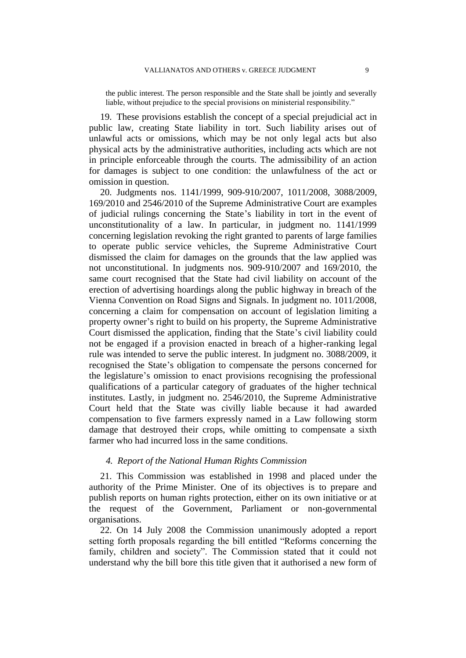the public interest. The person responsible and the State shall be jointly and severally liable, without prejudice to the special provisions on ministerial responsibility."

19. These provisions establish the concept of a special prejudicial act in public law, creating State liability in tort. Such liability arises out of unlawful acts or omissions, which may be not only legal acts but also physical acts by the administrative authorities, including acts which are not in principle enforceable through the courts. The admissibility of an action for damages is subject to one condition: the unlawfulness of the act or omission in question.

20. Judgments nos. 1141/1999, 909-910/2007, 1011/2008, 3088/2009, 169/2010 and 2546/2010 of the Supreme Administrative Court are examples of judicial rulings concerning the State's liability in tort in the event of unconstitutionality of a law. In particular, in judgment no. 1141/1999 concerning legislation revoking the right granted to parents of large families to operate public service vehicles, the Supreme Administrative Court dismissed the claim for damages on the grounds that the law applied was not unconstitutional. In judgments nos. 909-910/2007 and 169/2010, the same court recognised that the State had civil liability on account of the erection of advertising hoardings along the public highway in breach of the Vienna Convention on Road Signs and Signals. In judgment no. 1011/2008, concerning a claim for compensation on account of legislation limiting a property owner's right to build on his property, the Supreme Administrative Court dismissed the application, finding that the State's civil liability could not be engaged if a provision enacted in breach of a higher-ranking legal rule was intended to serve the public interest. In judgment no. 3088/2009, it recognised the State's obligation to compensate the persons concerned for the legislature's omission to enact provisions recognising the professional qualifications of a particular category of graduates of the higher technical institutes. Lastly, in judgment no. 2546/2010, the Supreme Administrative Court held that the State was civilly liable because it had awarded compensation to five farmers expressly named in a Law following storm damage that destroyed their crops, while omitting to compensate a sixth farmer who had incurred loss in the same conditions.

## *4. Report of the National Human Rights Commission*

21. This Commission was established in 1998 and placed under the authority of the Prime Minister. One of its objectives is to prepare and publish reports on human rights protection, either on its own initiative or at the request of the Government, Parliament or non-governmental organisations.

22. On 14 July 2008 the Commission unanimously adopted a report setting forth proposals regarding the bill entitled "Reforms concerning the family, children and society". The Commission stated that it could not understand why the bill bore this title given that it authorised a new form of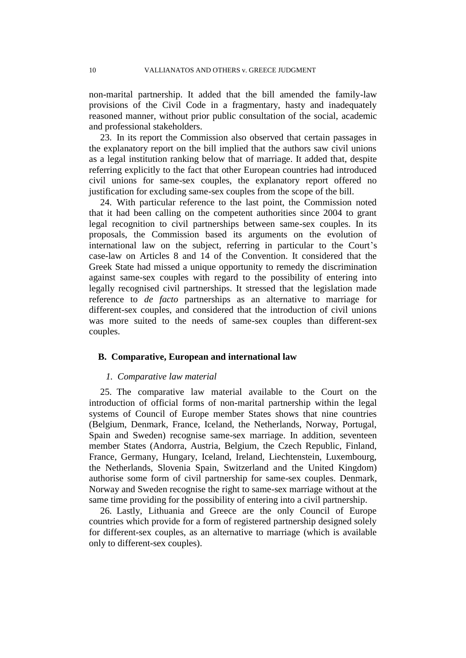non-marital partnership. It added that the bill amended the family-law provisions of the Civil Code in a fragmentary, hasty and inadequately reasoned manner, without prior public consultation of the social, academic and professional stakeholders.

23. In its report the Commission also observed that certain passages in the explanatory report on the bill implied that the authors saw civil unions as a legal institution ranking below that of marriage. It added that, despite referring explicitly to the fact that other European countries had introduced civil unions for same-sex couples, the explanatory report offered no justification for excluding same-sex couples from the scope of the bill.

24. With particular reference to the last point, the Commission noted that it had been calling on the competent authorities since 2004 to grant legal recognition to civil partnerships between same-sex couples. In its proposals, the Commission based its arguments on the evolution of international law on the subject, referring in particular to the Court's case-law on Articles 8 and 14 of the Convention. It considered that the Greek State had missed a unique opportunity to remedy the discrimination against same-sex couples with regard to the possibility of entering into legally recognised civil partnerships. It stressed that the legislation made reference to *de facto* partnerships as an alternative to marriage for different-sex couples, and considered that the introduction of civil unions was more suited to the needs of same-sex couples than different-sex couples.

## **B. Comparative, European and international law**

#### *1. Comparative law material*

25. The comparative law material available to the Court on the introduction of official forms of non-marital partnership within the legal systems of Council of Europe member States shows that nine countries (Belgium, Denmark, France, Iceland, the Netherlands, Norway, Portugal, Spain and Sweden) recognise same-sex marriage. In addition, seventeen member States (Andorra, Austria, Belgium, the Czech Republic, Finland, France, Germany, Hungary, Iceland, Ireland, Liechtenstein, Luxembourg, the Netherlands, Slovenia Spain, Switzerland and the United Kingdom) authorise some form of civil partnership for same-sex couples. Denmark, Norway and Sweden recognise the right to same-sex marriage without at the same time providing for the possibility of entering into a civil partnership.

26. Lastly, Lithuania and Greece are the only Council of Europe countries which provide for a form of registered partnership designed solely for different-sex couples, as an alternative to marriage (which is available only to different-sex couples).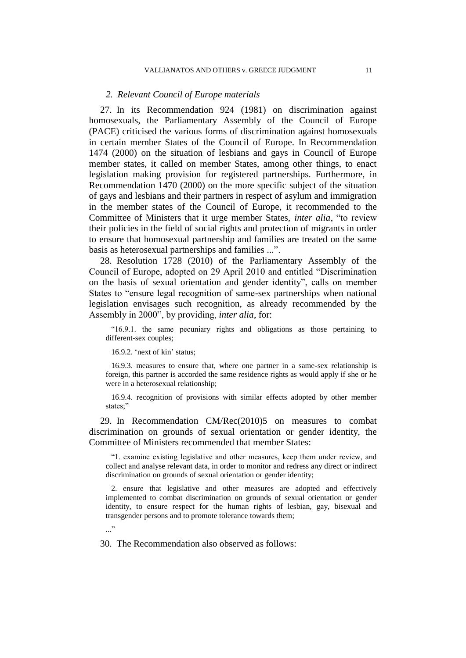## *2. Relevant Council of Europe materials*

27. In its Recommendation 924 (1981) on discrimination against homosexuals, the Parliamentary Assembly of the Council of Europe (PACE) criticised the various forms of discrimination against homosexuals in certain member States of the Council of Europe. In Recommendation 1474 (2000) on the situation of lesbians and gays in Council of Europe member states, it called on member States, among other things, to enact legislation making provision for registered partnerships. Furthermore, in Recommendation 1470 (2000) on the more specific subject of the situation of gays and lesbians and their partners in respect of asylum and immigration in the member states of the Council of Europe, it recommended to the Committee of Ministers that it urge member States, *inter alia*, "to review their policies in the field of social rights and protection of migrants in order to ensure that homosexual partnership and families are treated on the same basis as heterosexual partnerships and families ...".

28. Resolution 1728 (2010) of the Parliamentary Assembly of the Council of Europe, adopted on 29 April 2010 and entitled "Discrimination on the basis of sexual orientation and gender identity", calls on member States to "ensure legal recognition of same-sex partnerships when national legislation envisages such recognition, as already recommended by the Assembly in 2000", by providing, *inter alia*, for:

"16.9.1. the same pecuniary rights and obligations as those pertaining to different-sex couples;

16.9.2. 'next of kin' status;

16.9.3. measures to ensure that, where one partner in a same-sex relationship is foreign, this partner is accorded the same residence rights as would apply if she or he were in a heterosexual relationship;

16.9.4. recognition of provisions with similar effects adopted by other member states;"

29. In Recommendation CM/Rec(2010)5 on measures to combat discrimination on grounds of sexual orientation or gender identity, the Committee of Ministers recommended that member States:

"1. examine existing legislative and other measures, keep them under review, and collect and analyse relevant data, in order to monitor and redress any direct or indirect discrimination on grounds of sexual orientation or gender identity;

2. ensure that legislative and other measures are adopted and effectively implemented to combat discrimination on grounds of sexual orientation or gender identity, to ensure respect for the human rights of lesbian, gay, bisexual and transgender persons and to promote tolerance towards them;

..."

30. The Recommendation also observed as follows: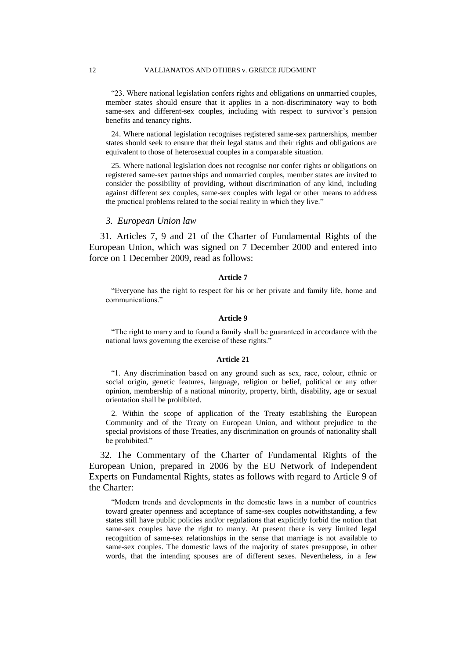"23. Where national legislation confers rights and obligations on unmarried couples, member states should ensure that it applies in a non-discriminatory way to both same-sex and different-sex couples, including with respect to survivor's pension benefits and tenancy rights.

24. Where national legislation recognises registered same-sex partnerships, member states should seek to ensure that their legal status and their rights and obligations are equivalent to those of heterosexual couples in a comparable situation.

25. Where national legislation does not recognise nor confer rights or obligations on registered same-sex partnerships and unmarried couples, member states are invited to consider the possibility of providing, without discrimination of any kind, including against different sex couples, same-sex couples with legal or other means to address the practical problems related to the social reality in which they live."

#### *3. European Union law*

31. Articles 7, 9 and 21 of the Charter of Fundamental Rights of the European Union, which was signed on 7 December 2000 and entered into force on 1 December 2009, read as follows:

## **Article 7**

"Everyone has the right to respect for his or her private and family life, home and communications."

#### **Article 9**

"The right to marry and to found a family shall be guaranteed in accordance with the national laws governing the exercise of these rights."

#### **Article 21**

"1. Any discrimination based on any ground such as sex, race, colour, ethnic or social origin, genetic features, language, religion or belief, political or any other opinion, membership of a national minority, property, birth, disability, age or sexual orientation shall be prohibited.

2. Within the scope of application of the Treaty establishing the European Community and of the Treaty on European Union, and without prejudice to the special provisions of those Treaties, any discrimination on grounds of nationality shall be prohibited."

32. The Commentary of the Charter of Fundamental Rights of the European Union, prepared in 2006 by the EU Network of Independent Experts on Fundamental Rights, states as follows with regard to Article 9 of the Charter:

"Modern trends and developments in the domestic laws in a number of countries toward greater openness and acceptance of same-sex couples notwithstanding, a few states still have public policies and/or regulations that explicitly forbid the notion that same-sex couples have the right to marry. At present there is very limited legal recognition of same-sex relationships in the sense that marriage is not available to same-sex couples. The domestic laws of the majority of states presuppose, in other words, that the intending spouses are of different sexes. Nevertheless, in a few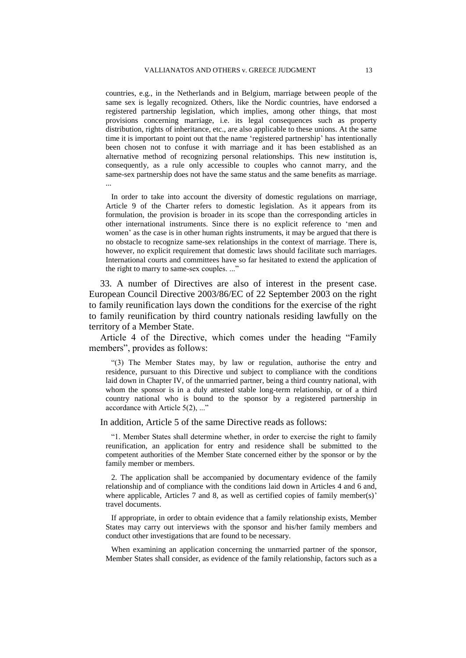countries, e.g., in the Netherlands and in Belgium, marriage between people of the same sex is legally recognized. Others, like the Nordic countries, have endorsed a registered partnership legislation, which implies, among other things, that most provisions concerning marriage, i.e. its legal consequences such as property distribution, rights of inheritance, etc., are also applicable to these unions. At the same time it is important to point out that the name 'registered partnership' has intentionally been chosen not to confuse it with marriage and it has been established as an alternative method of recognizing personal relationships. This new institution is, consequently, as a rule only accessible to couples who cannot marry, and the same-sex partnership does not have the same status and the same benefits as marriage. ...

In order to take into account the diversity of domestic regulations on marriage, Article 9 of the Charter refers to domestic legislation. As it appears from its formulation, the provision is broader in its scope than the corresponding articles in other international instruments. Since there is no explicit reference to 'men and women' as the case is in other human rights instruments, it may be argued that there is no obstacle to recognize same-sex relationships in the context of marriage. There is, however, no explicit requirement that domestic laws should facilitate such marriages. International courts and committees have so far hesitated to extend the application of the right to marry to same-sex couples. ..."

33. A number of Directives are also of interest in the present case. European Council Directive 2003/86/EC of 22 September 2003 on the right to family reunification lays down the conditions for the exercise of the right to family reunification by third country nationals residing lawfully on the territory of a Member State.

Article 4 of the Directive, which comes under the heading "Family members", provides as follows:

"(3) The Member States may, by law or regulation, authorise the entry and residence, pursuant to this Directive und subject to compliance with the conditions laid down in Chapter IV, of the unmarried partner, being a third country national, with whom the sponsor is in a duly attested stable long-term relationship, or of a third country national who is bound to the sponsor by a registered partnership in accordance with Article 5(2), ..."

In addition, Article 5 of the same Directive reads as follows:

"1. Member States shall determine whether, in order to exercise the right to family reunification, an application for entry and residence shall be submitted to the competent authorities of the Member State concerned either by the sponsor or by the family member or members.

2. The application shall be accompanied by documentary evidence of the family relationship and of compliance with the conditions laid down in Articles 4 and 6 and, where applicable, Articles 7 and 8, as well as certified copies of family member(s)' travel documents.

If appropriate, in order to obtain evidence that a family relationship exists, Member States may carry out interviews with the sponsor and his/her family members and conduct other investigations that are found to be necessary.

When examining an application concerning the unmarried partner of the sponsor, Member States shall consider, as evidence of the family relationship, factors such as a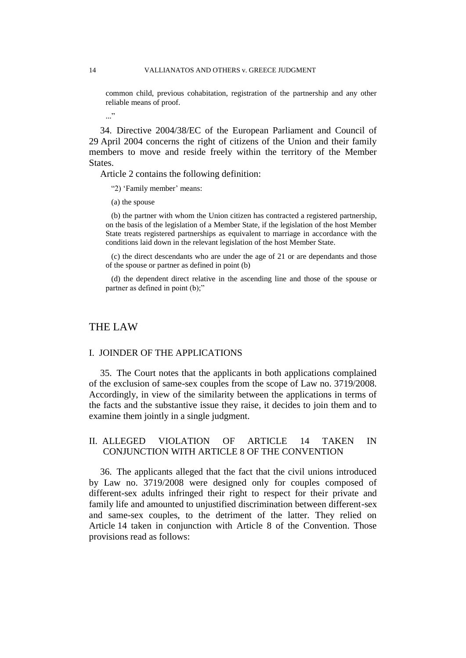common child, previous cohabitation, registration of the partnership and any other reliable means of proof.

..."

34. Directive 2004/38/EC of the European Parliament and Council of 29 April 2004 concerns the right of citizens of the Union and their family members to move and reside freely within the territory of the Member States.

Article 2 contains the following definition:

"2) 'Family member' means:

(a) the spouse

(b) the partner with whom the Union citizen has contracted a registered partnership, on the basis of the legislation of a Member State, if the legislation of the host Member State treats registered partnerships as equivalent to marriage in accordance with the conditions laid down in the relevant legislation of the host Member State.

(c) the direct descendants who are under the age of 21 or are dependants and those of the spouse or partner as defined in point (b)

(d) the dependent direct relative in the ascending line and those of the spouse or partner as defined in point (b);"

# THE LAW

#### I. JOINDER OF THE APPLICATIONS

35. The Court notes that the applicants in both applications complained of the exclusion of same-sex couples from the scope of Law no. 3719/2008. Accordingly, in view of the similarity between the applications in terms of the facts and the substantive issue they raise, it decides to join them and to examine them jointly in a single judgment.

# II. ALLEGED VIOLATION OF ARTICLE 14 TAKEN IN CONJUNCTION WITH ARTICLE 8 OF THE CONVENTION

36. The applicants alleged that the fact that the civil unions introduced by Law no. 3719/2008 were designed only for couples composed of different-sex adults infringed their right to respect for their private and family life and amounted to unjustified discrimination between different-sex and same-sex couples, to the detriment of the latter. They relied on Article 14 taken in conjunction with Article 8 of the Convention. Those provisions read as follows: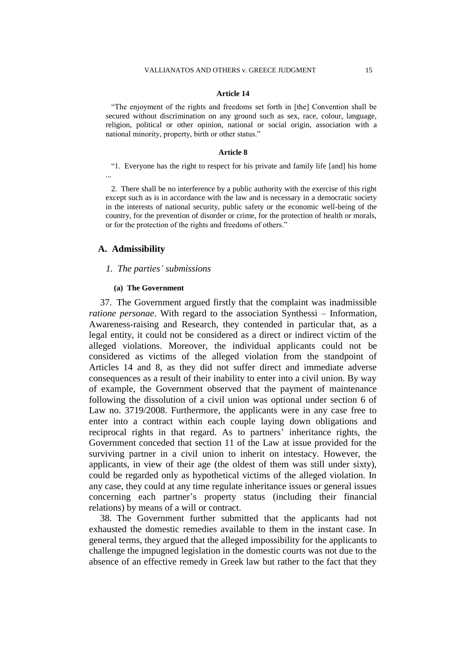## **Article 14**

"The enjoyment of the rights and freedoms set forth in [the] Convention shall be secured without discrimination on any ground such as sex, race, colour, language, religion, political or other opinion, national or social origin, association with a national minority, property, birth or other status."

#### **Article 8**

"1. Everyone has the right to respect for his private and family life [and] his home ...

2. There shall be no interference by a public authority with the exercise of this right except such as is in accordance with the law and is necessary in a democratic society in the interests of national security, public safety or the economic well-being of the country, for the prevention of disorder or crime, for the protection of health or morals, or for the protection of the rights and freedoms of others."

## **A. Admissibility**

## *1. The parties' submissions*

#### **(a) The Government**

37. The Government argued firstly that the complaint was inadmissible *ratione personae*. With regard to the association Synthessi – Information, Awareness-raising and Research, they contended in particular that, as a legal entity, it could not be considered as a direct or indirect victim of the alleged violations. Moreover, the individual applicants could not be considered as victims of the alleged violation from the standpoint of Articles 14 and 8, as they did not suffer direct and immediate adverse consequences as a result of their inability to enter into a civil union. By way of example, the Government observed that the payment of maintenance following the dissolution of a civil union was optional under section 6 of Law no. 3719/2008. Furthermore, the applicants were in any case free to enter into a contract within each couple laying down obligations and reciprocal rights in that regard. As to partners' inheritance rights, the Government conceded that section 11 of the Law at issue provided for the surviving partner in a civil union to inherit on intestacy. However, the applicants, in view of their age (the oldest of them was still under sixty), could be regarded only as hypothetical victims of the alleged violation. In any case, they could at any time regulate inheritance issues or general issues concerning each partner's property status (including their financial relations) by means of a will or contract.

38. The Government further submitted that the applicants had not exhausted the domestic remedies available to them in the instant case. In general terms, they argued that the alleged impossibility for the applicants to challenge the impugned legislation in the domestic courts was not due to the absence of an effective remedy in Greek law but rather to the fact that they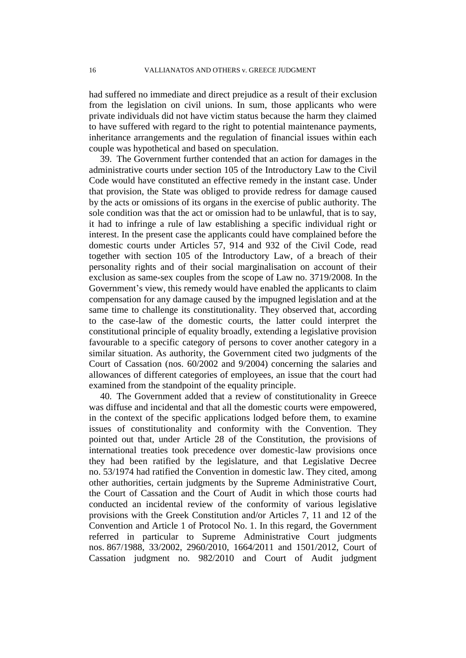had suffered no immediate and direct prejudice as a result of their exclusion from the legislation on civil unions. In sum, those applicants who were private individuals did not have victim status because the harm they claimed to have suffered with regard to the right to potential maintenance payments, inheritance arrangements and the regulation of financial issues within each couple was hypothetical and based on speculation.

39. The Government further contended that an action for damages in the administrative courts under section 105 of the Introductory Law to the Civil Code would have constituted an effective remedy in the instant case. Under that provision, the State was obliged to provide redress for damage caused by the acts or omissions of its organs in the exercise of public authority. The sole condition was that the act or omission had to be unlawful, that is to say, it had to infringe a rule of law establishing a specific individual right or interest. In the present case the applicants could have complained before the domestic courts under Articles 57, 914 and 932 of the Civil Code, read together with section 105 of the Introductory Law, of a breach of their personality rights and of their social marginalisation on account of their exclusion as same-sex couples from the scope of Law no. 3719/2008. In the Government's view, this remedy would have enabled the applicants to claim compensation for any damage caused by the impugned legislation and at the same time to challenge its constitutionality. They observed that, according to the case-law of the domestic courts, the latter could interpret the constitutional principle of equality broadly, extending a legislative provision favourable to a specific category of persons to cover another category in a similar situation. As authority, the Government cited two judgments of the Court of Cassation (nos. 60/2002 and 9/2004) concerning the salaries and allowances of different categories of employees, an issue that the court had examined from the standpoint of the equality principle.

40. The Government added that a review of constitutionality in Greece was diffuse and incidental and that all the domestic courts were empowered, in the context of the specific applications lodged before them, to examine issues of constitutionality and conformity with the Convention. They pointed out that, under Article 28 of the Constitution, the provisions of international treaties took precedence over domestic-law provisions once they had been ratified by the legislature, and that Legislative Decree no. 53/1974 had ratified the Convention in domestic law. They cited, among other authorities, certain judgments by the Supreme Administrative Court, the Court of Cassation and the Court of Audit in which those courts had conducted an incidental review of the conformity of various legislative provisions with the Greek Constitution and/or Articles 7, 11 and 12 of the Convention and Article 1 of Protocol No. 1. In this regard, the Government referred in particular to Supreme Administrative Court judgments nos. 867/1988, 33/2002, 2960/2010, 1664/2011 and 1501/2012, Court of Cassation judgment no. 982/2010 and Court of Audit judgment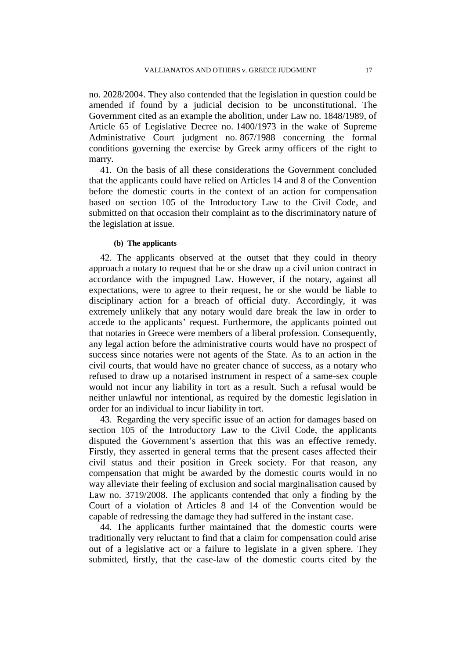no. 2028/2004. They also contended that the legislation in question could be amended if found by a judicial decision to be unconstitutional. The Government cited as an example the abolition, under Law no. 1848/1989, of Article 65 of Legislative Decree no. 1400/1973 in the wake of Supreme Administrative Court judgment no. 867/1988 concerning the formal conditions governing the exercise by Greek army officers of the right to marry.

41. On the basis of all these considerations the Government concluded that the applicants could have relied on Articles 14 and 8 of the Convention before the domestic courts in the context of an action for compensation based on section 105 of the Introductory Law to the Civil Code, and submitted on that occasion their complaint as to the discriminatory nature of the legislation at issue.

## **(b) The applicants**

42. The applicants observed at the outset that they could in theory approach a notary to request that he or she draw up a civil union contract in accordance with the impugned Law. However, if the notary, against all expectations, were to agree to their request, he or she would be liable to disciplinary action for a breach of official duty. Accordingly, it was extremely unlikely that any notary would dare break the law in order to accede to the applicants' request. Furthermore, the applicants pointed out that notaries in Greece were members of a liberal profession. Consequently, any legal action before the administrative courts would have no prospect of success since notaries were not agents of the State. As to an action in the civil courts, that would have no greater chance of success, as a notary who refused to draw up a notarised instrument in respect of a same-sex couple would not incur any liability in tort as a result. Such a refusal would be neither unlawful nor intentional, as required by the domestic legislation in order for an individual to incur liability in tort.

43. Regarding the very specific issue of an action for damages based on section 105 of the Introductory Law to the Civil Code, the applicants disputed the Government's assertion that this was an effective remedy. Firstly, they asserted in general terms that the present cases affected their civil status and their position in Greek society. For that reason, any compensation that might be awarded by the domestic courts would in no way alleviate their feeling of exclusion and social marginalisation caused by Law no. 3719/2008. The applicants contended that only a finding by the Court of a violation of Articles 8 and 14 of the Convention would be capable of redressing the damage they had suffered in the instant case.

44. The applicants further maintained that the domestic courts were traditionally very reluctant to find that a claim for compensation could arise out of a legislative act or a failure to legislate in a given sphere. They submitted, firstly, that the case-law of the domestic courts cited by the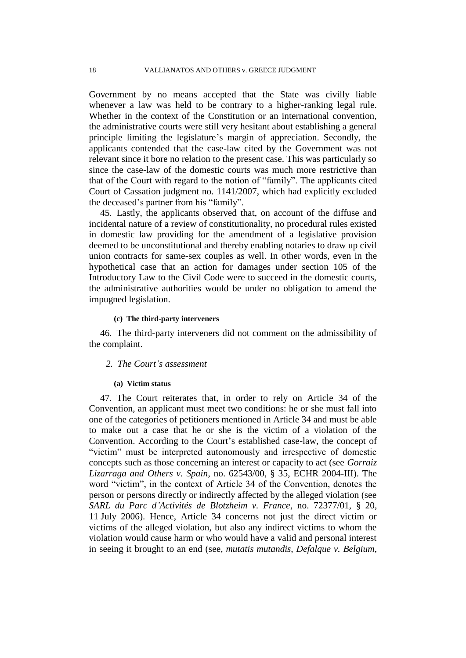Government by no means accepted that the State was civilly liable whenever a law was held to be contrary to a higher-ranking legal rule. Whether in the context of the Constitution or an international convention, the administrative courts were still very hesitant about establishing a general principle limiting the legislature's margin of appreciation. Secondly, the applicants contended that the case-law cited by the Government was not relevant since it bore no relation to the present case. This was particularly so since the case-law of the domestic courts was much more restrictive than that of the Court with regard to the notion of "family". The applicants cited Court of Cassation judgment no. 1141/2007, which had explicitly excluded the deceased's partner from his "family".

45. Lastly, the applicants observed that, on account of the diffuse and incidental nature of a review of constitutionality, no procedural rules existed in domestic law providing for the amendment of a legislative provision deemed to be unconstitutional and thereby enabling notaries to draw up civil union contracts for same-sex couples as well. In other words, even in the hypothetical case that an action for damages under section 105 of the Introductory Law to the Civil Code were to succeed in the domestic courts, the administrative authorities would be under no obligation to amend the impugned legislation.

## **(c) The third-party interveners**

46. The third-party interveners did not comment on the admissibility of the complaint.

# *2. The Court's assessment*

#### **(a) Victim status**

47. The Court reiterates that, in order to rely on Article 34 of the Convention, an applicant must meet two conditions: he or she must fall into one of the categories of petitioners mentioned in Article 34 and must be able to make out a case that he or she is the victim of a violation of the Convention. According to the Court's established case-law, the concept of "victim" must be interpreted autonomously and irrespective of domestic concepts such as those concerning an interest or capacity to act (see *Gorraiz Lizarraga and Others v. Spain*, no. 62543/00, § 35, ECHR 2004-III). The word "victim", in the context of Article 34 of the Convention, denotes the person or persons directly or indirectly affected by the alleged violation (see *SARL du Parc d'Activités de Blotzheim v. France*, no. 72377/01, § 20, 11 July 2006). Hence, Article 34 concerns not just the direct victim or victims of the alleged violation, but also any indirect victims to whom the violation would cause harm or who would have a valid and personal interest in seeing it brought to an end (see, *mutatis mutandis*, *Defalque v. Belgium*,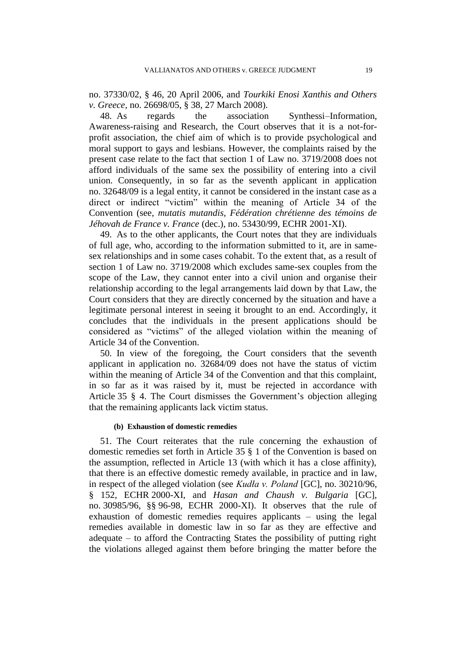no. 37330/02, § 46, 20 April 2006, and *Tourkiki Enosi Xanthis and Others v. Greece*, no. 26698/05, § 38, 27 March 2008).

48. As regards the association Synthessi–Information, Awareness-raising and Research, the Court observes that it is a not-forprofit association, the chief aim of which is to provide psychological and moral support to gays and lesbians. However, the complaints raised by the present case relate to the fact that section 1 of Law no. 3719/2008 does not afford individuals of the same sex the possibility of entering into a civil union. Consequently, in so far as the seventh applicant in application no. 32648/09 is a legal entity, it cannot be considered in the instant case as a direct or indirect "victim" within the meaning of Article 34 of the Convention (see, *mutatis mutandis*, *Fédération chrétienne des témoins de Jéhovah de France v. France* (dec.), no. 53430/99, ECHR 2001-XI).

49. As to the other applicants, the Court notes that they are individuals of full age, who, according to the information submitted to it, are in samesex relationships and in some cases cohabit. To the extent that, as a result of section 1 of Law no. 3719/2008 which excludes same-sex couples from the scope of the Law, they cannot enter into a civil union and organise their relationship according to the legal arrangements laid down by that Law, the Court considers that they are directly concerned by the situation and have a legitimate personal interest in seeing it brought to an end. Accordingly, it concludes that the individuals in the present applications should be considered as "victims" of the alleged violation within the meaning of Article 34 of the Convention.

50. In view of the foregoing, the Court considers that the seventh applicant in application no. 32684/09 does not have the status of victim within the meaning of Article 34 of the Convention and that this complaint, in so far as it was raised by it, must be rejected in accordance with Article 35 § 4. The Court dismisses the Government's objection alleging that the remaining applicants lack victim status.

### **(b) Exhaustion of domestic remedies**

51. The Court reiterates that the rule concerning the exhaustion of domestic remedies set forth in Article 35 § 1 of the Convention is based on the assumption, reflected in Article 13 (with which it has a close affinity), that there is an effective domestic remedy available, in practice and in law, in respect of the alleged violation (see *Kudła v. Poland* [GC], no. 30210/96, § 152, ECHR 2000-XI, and *Hasan and Chaush v. Bulgaria* [GC], no. 30985/96, §§ 96-98, ECHR 2000-XI). It observes that the rule of exhaustion of domestic remedies requires applicants – using the legal remedies available in domestic law in so far as they are effective and adequate – to afford the Contracting States the possibility of putting right the violations alleged against them before bringing the matter before the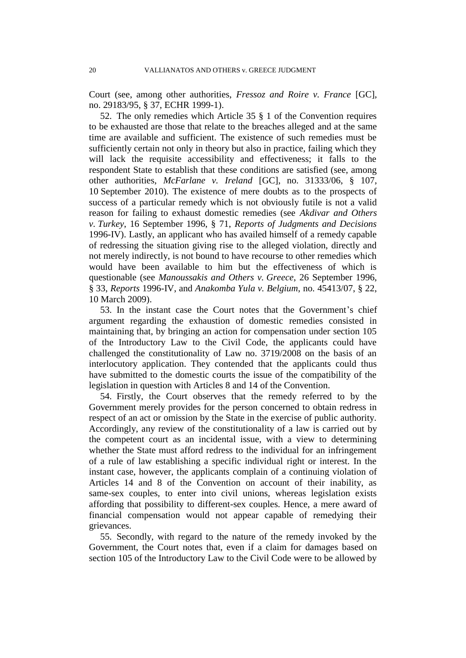Court (see, among other authorities, *Fressoz and Roire v. France* [GC], no. 29183/95, § 37, ECHR 1999-1).

52. The only remedies which Article 35 § 1 of the Convention requires to be exhausted are those that relate to the breaches alleged and at the same time are available and sufficient. The existence of such remedies must be sufficiently certain not only in theory but also in practice, failing which they will lack the requisite accessibility and effectiveness; it falls to the respondent State to establish that these conditions are satisfied (see, among other authorities, *McFarlane v. Ireland* [GC], no. 31333/06, § 107, 10 September 2010). The existence of mere doubts as to the prospects of success of a particular remedy which is not obviously futile is not a valid reason for failing to exhaust domestic remedies (see *Akdivar and Others v. Turkey*, 16 September 1996, § 71, *Reports of Judgments and Decisions* 1996-IV). Lastly, an applicant who has availed himself of a remedy capable of redressing the situation giving rise to the alleged violation, directly and not merely indirectly, is not bound to have recourse to other remedies which would have been available to him but the effectiveness of which is questionable (see *Manoussakis and Others v. Greece*, 26 September 1996, § 33, *Reports* 1996-IV, and *Anakomba Yula v. Belgium*, no. 45413/07, § 22, 10 March 2009).

53. In the instant case the Court notes that the Government's chief argument regarding the exhaustion of domestic remedies consisted in maintaining that, by bringing an action for compensation under section 105 of the Introductory Law to the Civil Code, the applicants could have challenged the constitutionality of Law no. 3719/2008 on the basis of an interlocutory application. They contended that the applicants could thus have submitted to the domestic courts the issue of the compatibility of the legislation in question with Articles 8 and 14 of the Convention.

54. Firstly, the Court observes that the remedy referred to by the Government merely provides for the person concerned to obtain redress in respect of an act or omission by the State in the exercise of public authority. Accordingly, any review of the constitutionality of a law is carried out by the competent court as an incidental issue, with a view to determining whether the State must afford redress to the individual for an infringement of a rule of law establishing a specific individual right or interest. In the instant case, however, the applicants complain of a continuing violation of Articles 14 and 8 of the Convention on account of their inability, as same-sex couples, to enter into civil unions, whereas legislation exists affording that possibility to different-sex couples. Hence, a mere award of financial compensation would not appear capable of remedying their grievances.

55. Secondly, with regard to the nature of the remedy invoked by the Government, the Court notes that, even if a claim for damages based on section 105 of the Introductory Law to the Civil Code were to be allowed by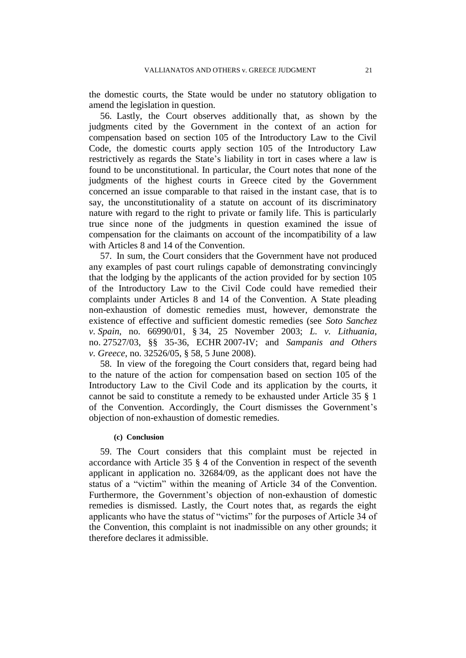the domestic courts, the State would be under no statutory obligation to amend the legislation in question.

56. Lastly, the Court observes additionally that, as shown by the judgments cited by the Government in the context of an action for compensation based on section 105 of the Introductory Law to the Civil Code, the domestic courts apply section 105 of the Introductory Law restrictively as regards the State's liability in tort in cases where a law is found to be unconstitutional. In particular, the Court notes that none of the judgments of the highest courts in Greece cited by the Government concerned an issue comparable to that raised in the instant case, that is to say, the unconstitutionality of a statute on account of its discriminatory nature with regard to the right to private or family life. This is particularly true since none of the judgments in question examined the issue of compensation for the claimants on account of the incompatibility of a law with Articles 8 and 14 of the Convention.

57. In sum, the Court considers that the Government have not produced any examples of past court rulings capable of demonstrating convincingly that the lodging by the applicants of the action provided for by section 105 of the Introductory Law to the Civil Code could have remedied their complaints under Articles 8 and 14 of the Convention. A State pleading non-exhaustion of domestic remedies must, however, demonstrate the existence of effective and sufficient domestic remedies (see *Soto Sanchez v. Spain*, no. 66990/01, § 34, 25 November 2003; *L. v. Lithuania*, no. 27527/03, §§ 35-36, ECHR 2007-IV; and *Sampanis and Others v. Greece*, no. 32526/05, § 58, 5 June 2008).

58. In view of the foregoing the Court considers that, regard being had to the nature of the action for compensation based on section 105 of the Introductory Law to the Civil Code and its application by the courts, it cannot be said to constitute a remedy to be exhausted under Article 35 § 1 of the Convention. Accordingly, the Court dismisses the Government's objection of non-exhaustion of domestic remedies.

## **(c) Conclusion**

59. The Court considers that this complaint must be rejected in accordance with Article 35 § 4 of the Convention in respect of the seventh applicant in application no. 32684/09, as the applicant does not have the status of a "victim" within the meaning of Article 34 of the Convention. Furthermore, the Government's objection of non-exhaustion of domestic remedies is dismissed. Lastly, the Court notes that, as regards the eight applicants who have the status of "victims" for the purposes of Article 34 of the Convention, this complaint is not inadmissible on any other grounds; it therefore declares it admissible.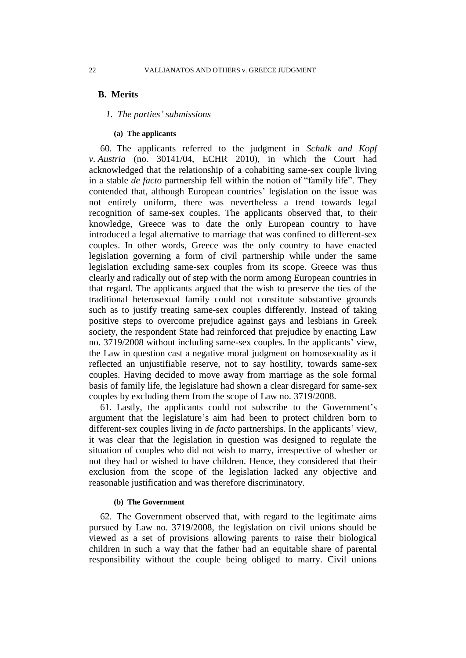## **B. Merits**

## *1. The parties' submissions*

## **(a) The applicants**

60. The applicants referred to the judgment in *Schalk and Kopf v. Austria* (no. 30141/04, ECHR 2010), in which the Court had acknowledged that the relationship of a cohabiting same-sex couple living in a stable *de facto* partnership fell within the notion of "family life". They contended that, although European countries' legislation on the issue was not entirely uniform, there was nevertheless a trend towards legal recognition of same-sex couples. The applicants observed that, to their knowledge, Greece was to date the only European country to have introduced a legal alternative to marriage that was confined to different-sex couples. In other words, Greece was the only country to have enacted legislation governing a form of civil partnership while under the same legislation excluding same-sex couples from its scope. Greece was thus clearly and radically out of step with the norm among European countries in that regard. The applicants argued that the wish to preserve the ties of the traditional heterosexual family could not constitute substantive grounds such as to justify treating same-sex couples differently. Instead of taking positive steps to overcome prejudice against gays and lesbians in Greek society, the respondent State had reinforced that prejudice by enacting Law no. 3719/2008 without including same-sex couples. In the applicants' view, the Law in question cast a negative moral judgment on homosexuality as it reflected an unjustifiable reserve, not to say hostility, towards same-sex couples. Having decided to move away from marriage as the sole formal basis of family life, the legislature had shown a clear disregard for same-sex couples by excluding them from the scope of Law no. 3719/2008.

61. Lastly, the applicants could not subscribe to the Government's argument that the legislature's aim had been to protect children born to different-sex couples living in *de facto* partnerships. In the applicants' view, it was clear that the legislation in question was designed to regulate the situation of couples who did not wish to marry, irrespective of whether or not they had or wished to have children. Hence, they considered that their exclusion from the scope of the legislation lacked any objective and reasonable justification and was therefore discriminatory.

## **(b) The Government**

62. The Government observed that, with regard to the legitimate aims pursued by Law no. 3719/2008, the legislation on civil unions should be viewed as a set of provisions allowing parents to raise their biological children in such a way that the father had an equitable share of parental responsibility without the couple being obliged to marry. Civil unions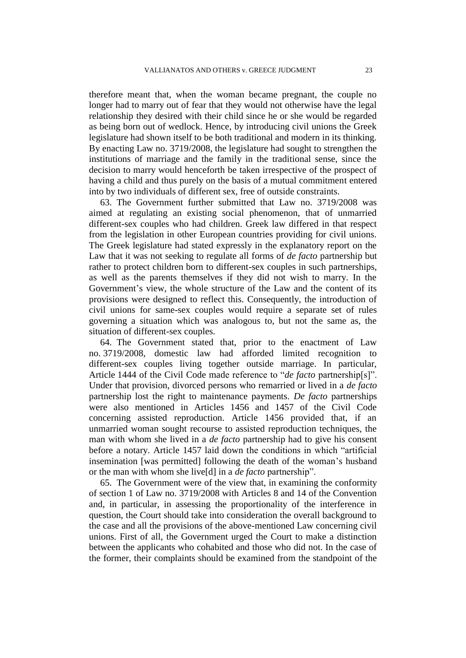therefore meant that, when the woman became pregnant, the couple no longer had to marry out of fear that they would not otherwise have the legal relationship they desired with their child since he or she would be regarded as being born out of wedlock. Hence, by introducing civil unions the Greek legislature had shown itself to be both traditional and modern in its thinking. By enacting Law no. 3719/2008, the legislature had sought to strengthen the institutions of marriage and the family in the traditional sense, since the decision to marry would henceforth be taken irrespective of the prospect of having a child and thus purely on the basis of a mutual commitment entered into by two individuals of different sex, free of outside constraints.

63. The Government further submitted that Law no. 3719/2008 was aimed at regulating an existing social phenomenon, that of unmarried different-sex couples who had children. Greek law differed in that respect from the legislation in other European countries providing for civil unions. The Greek legislature had stated expressly in the explanatory report on the Law that it was not seeking to regulate all forms of *de facto* partnership but rather to protect children born to different-sex couples in such partnerships, as well as the parents themselves if they did not wish to marry. In the Government's view, the whole structure of the Law and the content of its provisions were designed to reflect this. Consequently, the introduction of civil unions for same-sex couples would require a separate set of rules governing a situation which was analogous to, but not the same as, the situation of different-sex couples.

64. The Government stated that, prior to the enactment of Law no. 3719/2008, domestic law had afforded limited recognition to different-sex couples living together outside marriage. In particular, Article 1444 of the Civil Code made reference to "*de facto* partnership[s]". Under that provision, divorced persons who remarried or lived in a *de facto*  partnership lost the right to maintenance payments. *De facto* partnerships were also mentioned in Articles 1456 and 1457 of the Civil Code concerning assisted reproduction. Article 1456 provided that, if an unmarried woman sought recourse to assisted reproduction techniques, the man with whom she lived in a *de facto* partnership had to give his consent before a notary. Article 1457 laid down the conditions in which "artificial insemination [was permitted] following the death of the woman's husband or the man with whom she live[d] in a *de facto* partnership".

65. The Government were of the view that, in examining the conformity of section 1 of Law no. 3719/2008 with Articles 8 and 14 of the Convention and, in particular, in assessing the proportionality of the interference in question, the Court should take into consideration the overall background to the case and all the provisions of the above-mentioned Law concerning civil unions. First of all, the Government urged the Court to make a distinction between the applicants who cohabited and those who did not. In the case of the former, their complaints should be examined from the standpoint of the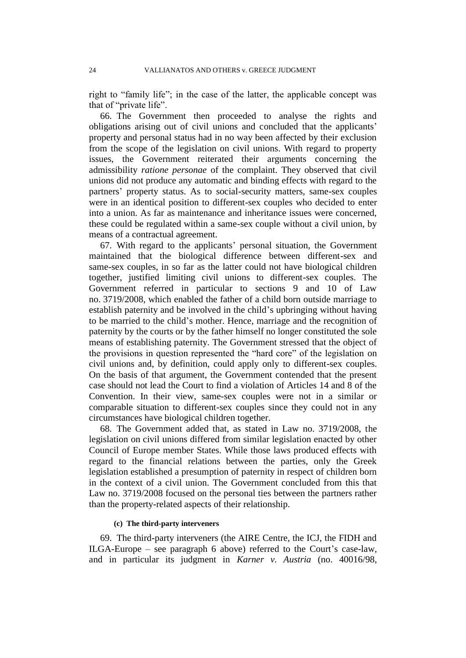right to "family life"; in the case of the latter, the applicable concept was that of "private life".

66. The Government then proceeded to analyse the rights and obligations arising out of civil unions and concluded that the applicants' property and personal status had in no way been affected by their exclusion from the scope of the legislation on civil unions. With regard to property issues, the Government reiterated their arguments concerning the admissibility *ratione personae* of the complaint. They observed that civil unions did not produce any automatic and binding effects with regard to the partners' property status. As to social-security matters, same-sex couples were in an identical position to different-sex couples who decided to enter into a union. As far as maintenance and inheritance issues were concerned, these could be regulated within a same-sex couple without a civil union, by means of a contractual agreement.

67. With regard to the applicants' personal situation, the Government maintained that the biological difference between different-sex and same-sex couples, in so far as the latter could not have biological children together, justified limiting civil unions to different-sex couples. The Government referred in particular to sections 9 and 10 of Law no. 3719/2008, which enabled the father of a child born outside marriage to establish paternity and be involved in the child's upbringing without having to be married to the child's mother. Hence, marriage and the recognition of paternity by the courts or by the father himself no longer constituted the sole means of establishing paternity. The Government stressed that the object of the provisions in question represented the "hard core" of the legislation on civil unions and, by definition, could apply only to different-sex couples. On the basis of that argument, the Government contended that the present case should not lead the Court to find a violation of Articles 14 and 8 of the Convention. In their view, same-sex couples were not in a similar or comparable situation to different-sex couples since they could not in any circumstances have biological children together.

68. The Government added that, as stated in Law no. 3719/2008, the legislation on civil unions differed from similar legislation enacted by other Council of Europe member States. While those laws produced effects with regard to the financial relations between the parties, only the Greek legislation established a presumption of paternity in respect of children born in the context of a civil union. The Government concluded from this that Law no. 3719/2008 focused on the personal ties between the partners rather than the property-related aspects of their relationship.

#### **(c) The third-party interveners**

69. The third-party interveners (the AIRE Centre, the ICJ, the FIDH and ILGA-Europe – see paragraph 6 above) referred to the Court's case-law, and in particular its judgment in *Karner v. Austria* (no. 40016/98,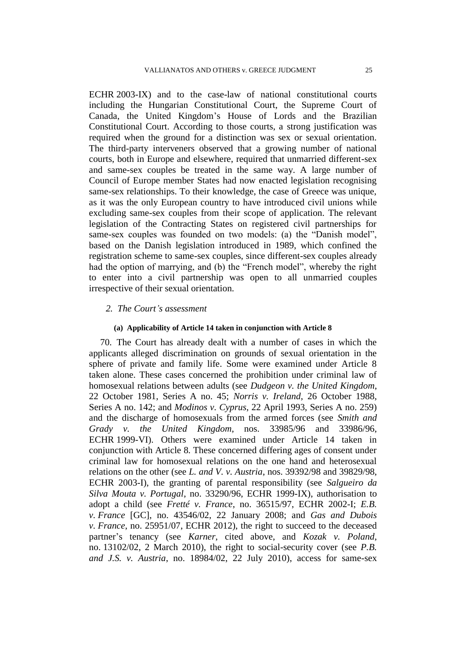ECHR 2003-IX) and to the case-law of national constitutional courts including the Hungarian Constitutional Court, the Supreme Court of Canada, the United Kingdom's House of Lords and the Brazilian Constitutional Court. According to those courts, a strong justification was required when the ground for a distinction was sex or sexual orientation. The third-party interveners observed that a growing number of national courts, both in Europe and elsewhere, required that unmarried different-sex and same-sex couples be treated in the same way. A large number of Council of Europe member States had now enacted legislation recognising same-sex relationships. To their knowledge, the case of Greece was unique, as it was the only European country to have introduced civil unions while excluding same-sex couples from their scope of application. The relevant legislation of the Contracting States on registered civil partnerships for same-sex couples was founded on two models: (a) the "Danish model", based on the Danish legislation introduced in 1989, which confined the registration scheme to same-sex couples, since different-sex couples already had the option of marrying, and (b) the "French model", whereby the right to enter into a civil partnership was open to all unmarried couples irrespective of their sexual orientation.

## *2. The Court's assessment*

## **(a) Applicability of Article 14 taken in conjunction with Article 8**

70. The Court has already dealt with a number of cases in which the applicants alleged discrimination on grounds of sexual orientation in the sphere of private and family life. Some were examined under Article 8 taken alone. These cases concerned the prohibition under criminal law of homosexual relations between adults (see *Dudgeon v. the United Kingdom*, 22 October 1981, Series A no. 45; *Norris v. Ireland*, 26 October 1988, Series A no. 142; and *Modinos v. Cyprus*, 22 April 1993, Series A no. 259) and the discharge of homosexuals from the armed forces (see *Smith and Grady v. the United Kingdom*, nos. 33985/96 and 33986/96, ECHR 1999-VI). Others were examined under Article 14 taken in conjunction with Article 8. These concerned differing ages of consent under criminal law for homosexual relations on the one hand and heterosexual relations on the other (see *L. and V. v. Austria*, nos. 39392/98 and 39829/98, ECHR 2003-I), the granting of parental responsibility (see *Salgueiro da Silva Mouta v. Portugal*, no. 33290/96, ECHR 1999-IX), authorisation to adopt a child (see *Fretté v. France*, no. 36515/97, ECHR 2002-I; *E.B. v. France* [GC], no. 43546/02, 22 January 2008; and *Gas and Dubois v. France*, no. 25951/07, ECHR 2012), the right to succeed to the deceased partner's tenancy (see *Karner*, cited above, and *Kozak v. Poland*, no. 13102/02, 2 March 2010), the right to social-security cover (see *P.B. and J.S. v. Austria*, no. 18984/02, 22 July 2010), access for same-sex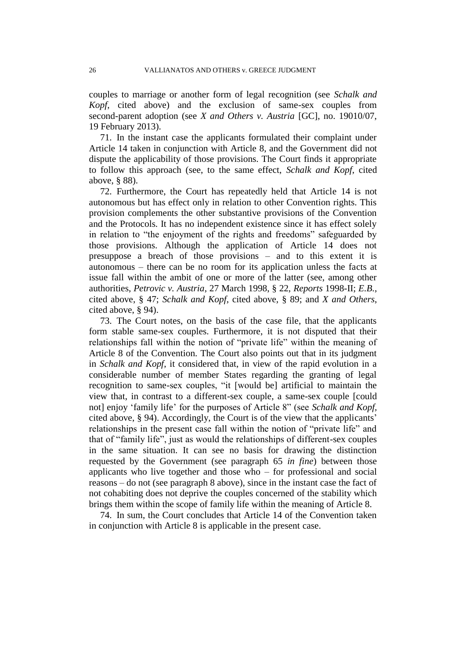couples to marriage or another form of legal recognition (see *Schalk and Kopf*, cited above) and the exclusion of same-sex couples from second-parent adoption (see *X and Others v. Austria* [GC], no. 19010/07, 19 February 2013).

71. In the instant case the applicants formulated their complaint under Article 14 taken in conjunction with Article 8, and the Government did not dispute the applicability of those provisions. The Court finds it appropriate to follow this approach (see, to the same effect, *Schalk and Kopf*, cited above, § 88).

72. Furthermore, the Court has repeatedly held that Article 14 is not autonomous but has effect only in relation to other Convention rights. This provision complements the other substantive provisions of the Convention and the Protocols. It has no independent existence since it has effect solely in relation to "the enjoyment of the rights and freedoms" safeguarded by those provisions. Although the application of Article 14 does not presuppose a breach of those provisions – and to this extent it is autonomous – there can be no room for its application unless the facts at issue fall within the ambit of one or more of the latter (see, among other authorities, *Petrovic v. Austria*, 27 March 1998, § 22, *Reports* 1998-II; *E.B.*, cited above, § 47; *Schalk and Kopf*, cited above, § 89; and *X and Others*, cited above, § 94).

73. The Court notes, on the basis of the case file, that the applicants form stable same-sex couples. Furthermore, it is not disputed that their relationships fall within the notion of "private life" within the meaning of Article 8 of the Convention. The Court also points out that in its judgment in *Schalk and Kopf*, it considered that, in view of the rapid evolution in a considerable number of member States regarding the granting of legal recognition to same-sex couples, "it [would be] artificial to maintain the view that, in contrast to a different-sex couple, a same-sex couple [could not] enjoy 'family life' for the purposes of Article 8" (see *Schalk and Kopf,*  cited above, § 94). Accordingly, the Court is of the view that the applicants' relationships in the present case fall within the notion of "private life" and that of "family life", just as would the relationships of different-sex couples in the same situation. It can see no basis for drawing the distinction requested by the Government (see paragraph 65 *in fine*) between those applicants who live together and those who – for professional and social reasons – do not (see paragraph 8 above), since in the instant case the fact of not cohabiting does not deprive the couples concerned of the stability which brings them within the scope of family life within the meaning of Article 8.

74. In sum, the Court concludes that Article 14 of the Convention taken in conjunction with Article 8 is applicable in the present case.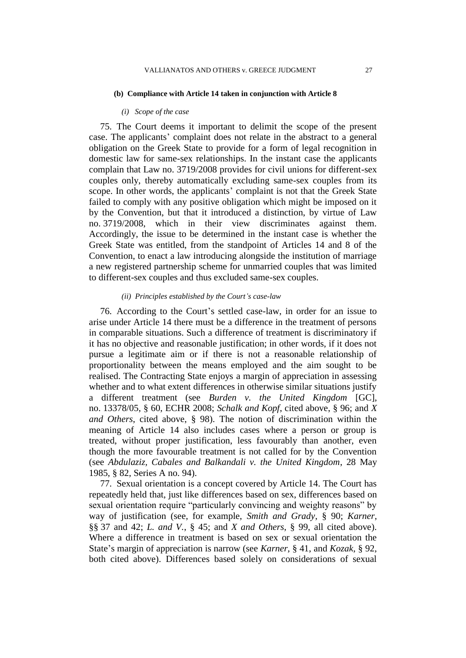#### **(b) Compliance with Article 14 taken in conjunction with Article 8**

# *(i) Scope of the case*

75. The Court deems it important to delimit the scope of the present case. The applicants' complaint does not relate in the abstract to a general obligation on the Greek State to provide for a form of legal recognition in domestic law for same-sex relationships. In the instant case the applicants complain that Law no. 3719/2008 provides for civil unions for different-sex couples only, thereby automatically excluding same-sex couples from its scope. In other words, the applicants' complaint is not that the Greek State failed to comply with any positive obligation which might be imposed on it by the Convention, but that it introduced a distinction, by virtue of Law no. 3719/2008, which in their view discriminates against them. Accordingly, the issue to be determined in the instant case is whether the Greek State was entitled, from the standpoint of Articles 14 and 8 of the Convention, to enact a law introducing alongside the institution of marriage a new registered partnership scheme for unmarried couples that was limited to different-sex couples and thus excluded same-sex couples.

# *(ii) Principles established by the Court's case-law*

76. According to the Court's settled case-law, in order for an issue to arise under Article 14 there must be a difference in the treatment of persons in comparable situations. Such a difference of treatment is discriminatory if it has no objective and reasonable justification; in other words, if it does not pursue a legitimate aim or if there is not a reasonable relationship of proportionality between the means employed and the aim sought to be realised. The Contracting State enjoys a margin of appreciation in assessing whether and to what extent differences in otherwise similar situations justify a different treatment (see *Burden v. the United Kingdom* [GC], no. 13378/05, § 60, ECHR 2008; *Schalk and Kopf*, cited above, § 96; and *X and Others*, cited above, § 98). The notion of discrimination within the meaning of Article 14 also includes cases where a person or group is treated, without proper justification, less favourably than another, even though the more favourable treatment is not called for by the Convention (see *Abdulaziz, Cabales and Balkandali v. the United Kingdom*, 28 May 1985, § 82, Series A no. 94).

77. Sexual orientation is a concept covered by Article 14. The Court has repeatedly held that, just like differences based on sex, differences based on sexual orientation require "particularly convincing and weighty reasons" by way of justification (see, for example, *Smith and Grady*, § 90; *Karner*, §§ 37 and 42; *L. and V.*, § 45; and *X and Others*, § 99, all cited above). Where a difference in treatment is based on sex or sexual orientation the State's margin of appreciation is narrow (see *Karner*, § 41, and *Kozak*, § 92, both cited above). Differences based solely on considerations of sexual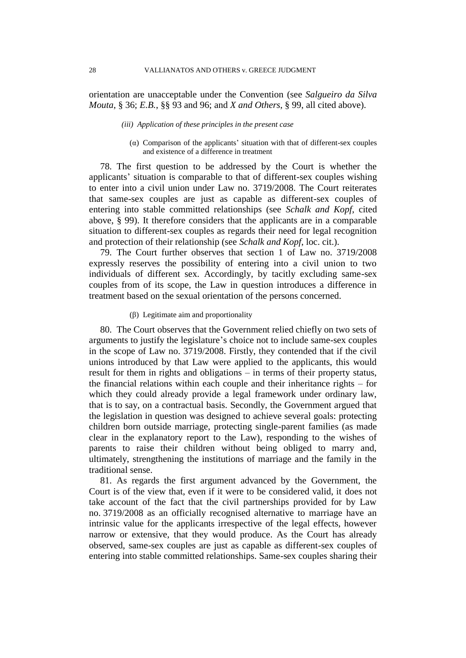orientation are unacceptable under the Convention (see *Salgueiro da Silva Mouta*, § 36; *E.B.*, §§ 93 and 96; and *X and Others*, § 99, all cited above).

## *(iii) Application of these principles in the present case*

(α) Comparison of the applicants' situation with that of different-sex couples and existence of a difference in treatment

78. The first question to be addressed by the Court is whether the applicants' situation is comparable to that of different-sex couples wishing to enter into a civil union under Law no. 3719/2008. The Court reiterates that same-sex couples are just as capable as different-sex couples of entering into stable committed relationships (see *Schalk and Kopf*, cited above, § 99). It therefore considers that the applicants are in a comparable situation to different-sex couples as regards their need for legal recognition and protection of their relationship (see *Schalk and Kopf*, loc. cit.).

79. The Court further observes that section 1 of Law no. 3719/2008 expressly reserves the possibility of entering into a civil union to two individuals of different sex. Accordingly, by tacitly excluding same-sex couples from of its scope, the Law in question introduces a difference in treatment based on the sexual orientation of the persons concerned.

## (β) Legitimate aim and proportionality

80. The Court observes that the Government relied chiefly on two sets of arguments to justify the legislature's choice not to include same-sex couples in the scope of Law no. 3719/2008. Firstly, they contended that if the civil unions introduced by that Law were applied to the applicants, this would result for them in rights and obligations – in terms of their property status, the financial relations within each couple and their inheritance rights – for which they could already provide a legal framework under ordinary law, that is to say, on a contractual basis. Secondly, the Government argued that the legislation in question was designed to achieve several goals: protecting children born outside marriage, protecting single-parent families (as made clear in the explanatory report to the Law), responding to the wishes of parents to raise their children without being obliged to marry and, ultimately, strengthening the institutions of marriage and the family in the traditional sense.

81. As regards the first argument advanced by the Government, the Court is of the view that, even if it were to be considered valid, it does not take account of the fact that the civil partnerships provided for by Law no. 3719/2008 as an officially recognised alternative to marriage have an intrinsic value for the applicants irrespective of the legal effects, however narrow or extensive, that they would produce. As the Court has already observed, same-sex couples are just as capable as different-sex couples of entering into stable committed relationships. Same-sex couples sharing their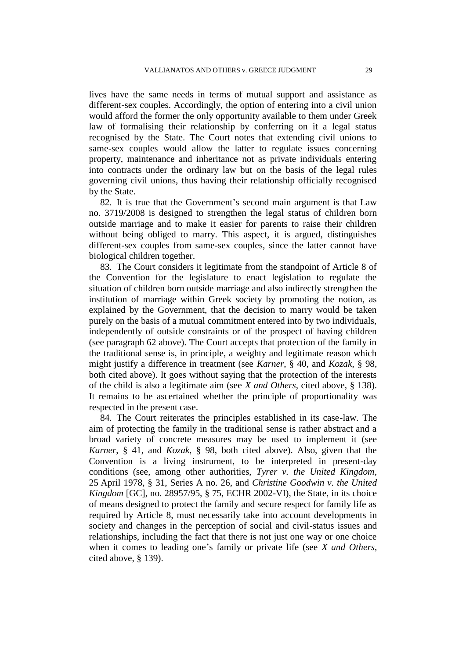lives have the same needs in terms of mutual support and assistance as different-sex couples. Accordingly, the option of entering into a civil union would afford the former the only opportunity available to them under Greek law of formalising their relationship by conferring on it a legal status recognised by the State. The Court notes that extending civil unions to same-sex couples would allow the latter to regulate issues concerning property, maintenance and inheritance not as private individuals entering into contracts under the ordinary law but on the basis of the legal rules governing civil unions, thus having their relationship officially recognised by the State.

82. It is true that the Government's second main argument is that Law no. 3719/2008 is designed to strengthen the legal status of children born outside marriage and to make it easier for parents to raise their children without being obliged to marry. This aspect, it is argued, distinguishes different-sex couples from same-sex couples, since the latter cannot have biological children together.

83. The Court considers it legitimate from the standpoint of Article 8 of the Convention for the legislature to enact legislation to regulate the situation of children born outside marriage and also indirectly strengthen the institution of marriage within Greek society by promoting the notion, as explained by the Government, that the decision to marry would be taken purely on the basis of a mutual commitment entered into by two individuals, independently of outside constraints or of the prospect of having children (see paragraph 62 above). The Court accepts that protection of the family in the traditional sense is, in principle, a weighty and legitimate reason which might justify a difference in treatment (see *Karner*, § 40, and *Kozak*, § 98, both cited above). It goes without saying that the protection of the interests of the child is also a legitimate aim (see *X and Others*, cited above, § 138). It remains to be ascertained whether the principle of proportionality was respected in the present case.

84. The Court reiterates the principles established in its case-law. The aim of protecting the family in the traditional sense is rather abstract and a broad variety of concrete measures may be used to implement it (see *Karner*, § 41, and *Kozak*, § 98, both cited above). Also, given that the Convention is a living instrument, to be interpreted in present-day conditions (see, among other authorities, *Tyrer v. the United Kingdom*, 25 April 1978, § 31, Series A no. 26, and *Christine Goodwin v. the United Kingdom* [GC], no. 28957/95, § 75, ECHR 2002-VI), the State, in its choice of means designed to protect the family and secure respect for family life as required by Article 8, must necessarily take into account developments in society and changes in the perception of social and civil-status issues and relationships, including the fact that there is not just one way or one choice when it comes to leading one's family or private life (see *X and Others*, cited above, § 139).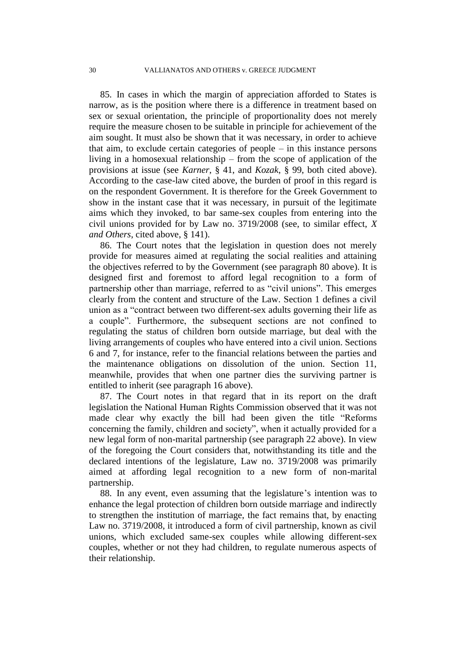85. In cases in which the margin of appreciation afforded to States is narrow, as is the position where there is a difference in treatment based on sex or sexual orientation, the principle of proportionality does not merely require the measure chosen to be suitable in principle for achievement of the aim sought. It must also be shown that it was necessary, in order to achieve that aim, to exclude certain categories of people – in this instance persons living in a homosexual relationship – from the scope of application of the provisions at issue (see *Karner*, § 41, and *Kozak*, § 99, both cited above). According to the case-law cited above, the burden of proof in this regard is on the respondent Government. It is therefore for the Greek Government to show in the instant case that it was necessary, in pursuit of the legitimate aims which they invoked, to bar same-sex couples from entering into the civil unions provided for by Law no. 3719/2008 (see, to similar effect, *X and Others*, cited above, § 141).

86. The Court notes that the legislation in question does not merely provide for measures aimed at regulating the social realities and attaining the objectives referred to by the Government (see paragraph 80 above). It is designed first and foremost to afford legal recognition to a form of partnership other than marriage, referred to as "civil unions". This emerges clearly from the content and structure of the Law. Section 1 defines a civil union as a "contract between two different-sex adults governing their life as a couple". Furthermore, the subsequent sections are not confined to regulating the status of children born outside marriage, but deal with the living arrangements of couples who have entered into a civil union. Sections 6 and 7, for instance, refer to the financial relations between the parties and the maintenance obligations on dissolution of the union. Section 11, meanwhile, provides that when one partner dies the surviving partner is entitled to inherit (see paragraph 16 above).

87. The Court notes in that regard that in its report on the draft legislation the National Human Rights Commission observed that it was not made clear why exactly the bill had been given the title "Reforms concerning the family, children and society", when it actually provided for a new legal form of non-marital partnership (see paragraph 22 above). In view of the foregoing the Court considers that, notwithstanding its title and the declared intentions of the legislature, Law no. 3719/2008 was primarily aimed at affording legal recognition to a new form of non-marital partnership.

88. In any event, even assuming that the legislature's intention was to enhance the legal protection of children born outside marriage and indirectly to strengthen the institution of marriage, the fact remains that, by enacting Law no. 3719/2008, it introduced a form of civil partnership, known as civil unions, which excluded same-sex couples while allowing different-sex couples, whether or not they had children, to regulate numerous aspects of their relationship.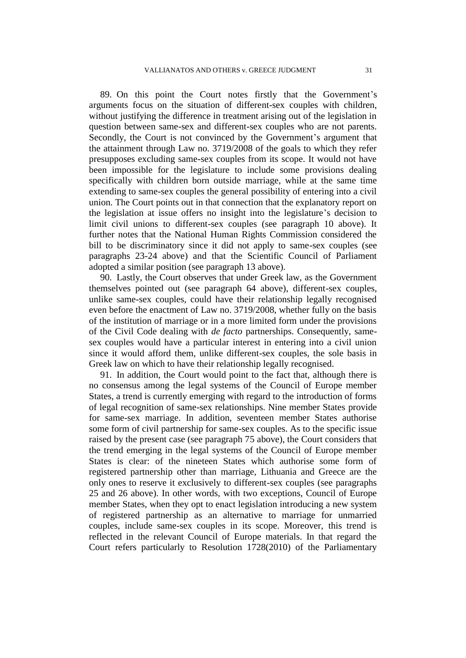89. On this point the Court notes firstly that the Government's arguments focus on the situation of different-sex couples with children, without justifying the difference in treatment arising out of the legislation in question between same-sex and different-sex couples who are not parents. Secondly, the Court is not convinced by the Government's argument that the attainment through Law no. 3719/2008 of the goals to which they refer presupposes excluding same-sex couples from its scope. It would not have been impossible for the legislature to include some provisions dealing specifically with children born outside marriage, while at the same time extending to same-sex couples the general possibility of entering into a civil union. The Court points out in that connection that the explanatory report on the legislation at issue offers no insight into the legislature's decision to limit civil unions to different-sex couples (see paragraph 10 above). It further notes that the National Human Rights Commission considered the bill to be discriminatory since it did not apply to same-sex couples (see paragraphs 23-24 above) and that the Scientific Council of Parliament adopted a similar position (see paragraph 13 above).

90. Lastly, the Court observes that under Greek law, as the Government themselves pointed out (see paragraph 64 above), different-sex couples, unlike same-sex couples, could have their relationship legally recognised even before the enactment of Law no. 3719/2008, whether fully on the basis of the institution of marriage or in a more limited form under the provisions of the Civil Code dealing with *de facto* partnerships. Consequently, samesex couples would have a particular interest in entering into a civil union since it would afford them, unlike different-sex couples, the sole basis in Greek law on which to have their relationship legally recognised.

91. In addition, the Court would point to the fact that, although there is no consensus among the legal systems of the Council of Europe member States, a trend is currently emerging with regard to the introduction of forms of legal recognition of same-sex relationships. Nine member States provide for same-sex marriage. In addition, seventeen member States authorise some form of civil partnership for same-sex couples. As to the specific issue raised by the present case (see paragraph 75 above), the Court considers that the trend emerging in the legal systems of the Council of Europe member States is clear: of the nineteen States which authorise some form of registered partnership other than marriage, Lithuania and Greece are the only ones to reserve it exclusively to different-sex couples (see paragraphs 25 and 26 above). In other words, with two exceptions, Council of Europe member States, when they opt to enact legislation introducing a new system of registered partnership as an alternative to marriage for unmarried couples, include same-sex couples in its scope. Moreover, this trend is reflected in the relevant Council of Europe materials. In that regard the Court refers particularly to Resolution 1728(2010) of the Parliamentary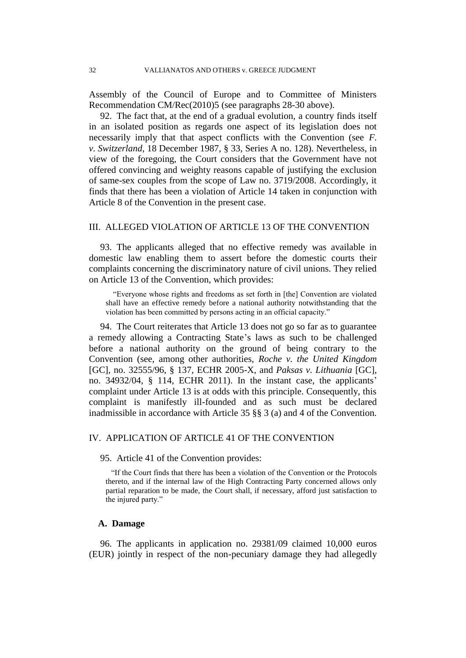Assembly of the Council of Europe and to Committee of Ministers Recommendation CM/Rec(2010)5 (see paragraphs 28-30 above).

92. The fact that, at the end of a gradual evolution, a country finds itself in an isolated position as regards one aspect of its legislation does not necessarily imply that that aspect conflicts with the Convention (see *F. v. Switzerland*, 18 December 1987, § 33, Series A no. 128). Nevertheless, in view of the foregoing, the Court considers that the Government have not offered convincing and weighty reasons capable of justifying the exclusion of same-sex couples from the scope of Law no. 3719/2008. Accordingly, it finds that there has been a violation of Article 14 taken in conjunction with Article 8 of the Convention in the present case.

# III. ALLEGED VIOLATION OF ARTICLE 13 OF THE CONVENTION

93. The applicants alleged that no effective remedy was available in domestic law enabling them to assert before the domestic courts their complaints concerning the discriminatory nature of civil unions. They relied on Article 13 of the Convention, which provides:

"Everyone whose rights and freedoms as set forth in [the] Convention are violated shall have an effective remedy before a national authority notwithstanding that the violation has been committed by persons acting in an official capacity."

94. The Court reiterates that Article 13 does not go so far as to guarantee a remedy allowing a Contracting State's laws as such to be challenged before a national authority on the ground of being contrary to the Convention (see, among other authorities, *Roche v. the United Kingdom* [GC], no. 32555/96, § 137, ECHR 2005-X, and *Paksas v. Lithuania* [GC], no. 34932/04, § 114, ECHR 2011). In the instant case, the applicants' complaint under Article 13 is at odds with this principle. Consequently, this complaint is manifestly ill-founded and as such must be declared inadmissible in accordance with Article 35 §§ 3 (a) and 4 of the Convention.

## IV. APPLICATION OF ARTICLE 41 OF THE CONVENTION

95. Article 41 of the Convention provides:

"If the Court finds that there has been a violation of the Convention or the Protocols thereto, and if the internal law of the High Contracting Party concerned allows only partial reparation to be made, the Court shall, if necessary, afford just satisfaction to the injured party."

# **A. Damage**

96. The applicants in application no. 29381/09 claimed 10,000 euros (EUR) jointly in respect of the non-pecuniary damage they had allegedly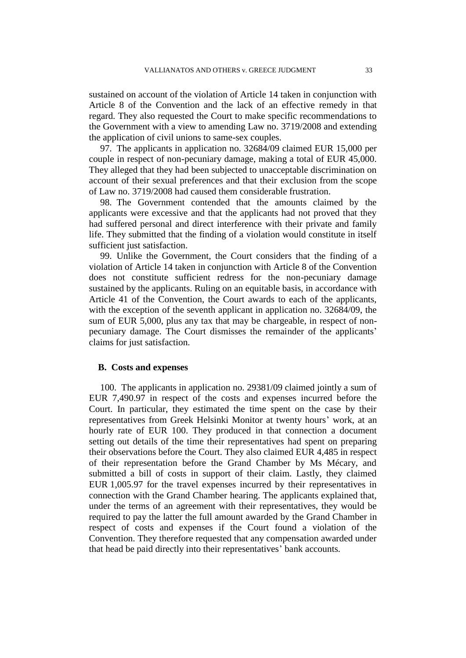sustained on account of the violation of Article 14 taken in conjunction with Article 8 of the Convention and the lack of an effective remedy in that regard. They also requested the Court to make specific recommendations to the Government with a view to amending Law no. 3719/2008 and extending the application of civil unions to same-sex couples.

97. The applicants in application no. 32684/09 claimed EUR 15,000 per couple in respect of non-pecuniary damage, making a total of EUR 45,000. They alleged that they had been subjected to unacceptable discrimination on account of their sexual preferences and that their exclusion from the scope of Law no. 3719/2008 had caused them considerable frustration.

98. The Government contended that the amounts claimed by the applicants were excessive and that the applicants had not proved that they had suffered personal and direct interference with their private and family life. They submitted that the finding of a violation would constitute in itself sufficient just satisfaction.

99. Unlike the Government, the Court considers that the finding of a violation of Article 14 taken in conjunction with Article 8 of the Convention does not constitute sufficient redress for the non-pecuniary damage sustained by the applicants. Ruling on an equitable basis, in accordance with Article 41 of the Convention, the Court awards to each of the applicants, with the exception of the seventh applicant in application no. 32684/09, the sum of EUR 5,000, plus any tax that may be chargeable, in respect of nonpecuniary damage. The Court dismisses the remainder of the applicants' claims for just satisfaction.

## **B. Costs and expenses**

100. The applicants in application no. 29381/09 claimed jointly a sum of EUR 7,490.97 in respect of the costs and expenses incurred before the Court. In particular, they estimated the time spent on the case by their representatives from Greek Helsinki Monitor at twenty hours' work, at an hourly rate of EUR 100. They produced in that connection a document setting out details of the time their representatives had spent on preparing their observations before the Court. They also claimed EUR 4,485 in respect of their representation before the Grand Chamber by Ms Mécary, and submitted a bill of costs in support of their claim. Lastly, they claimed EUR 1,005.97 for the travel expenses incurred by their representatives in connection with the Grand Chamber hearing. The applicants explained that, under the terms of an agreement with their representatives, they would be required to pay the latter the full amount awarded by the Grand Chamber in respect of costs and expenses if the Court found a violation of the Convention. They therefore requested that any compensation awarded under that head be paid directly into their representatives' bank accounts.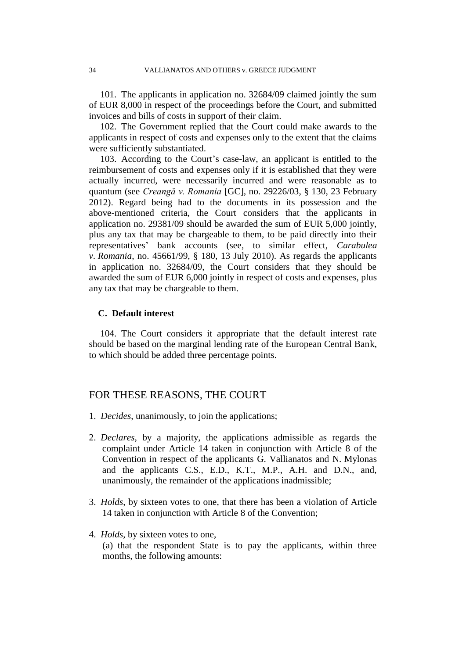101. The applicants in application no. 32684/09 claimed jointly the sum of EUR 8,000 in respect of the proceedings before the Court, and submitted invoices and bills of costs in support of their claim.

102. The Government replied that the Court could make awards to the applicants in respect of costs and expenses only to the extent that the claims were sufficiently substantiated.

103. According to the Court's case-law, an applicant is entitled to the reimbursement of costs and expenses only if it is established that they were actually incurred, were necessarily incurred and were reasonable as to quantum (see *Creangă v. Romania* [GC], no. 29226/03, § 130, 23 February 2012). Regard being had to the documents in its possession and the above-mentioned criteria, the Court considers that the applicants in application no. 29381/09 should be awarded the sum of EUR 5,000 jointly, plus any tax that may be chargeable to them, to be paid directly into their representatives' bank accounts (see, to similar effect, *Carabulea v. Romania*, no. 45661/99, § 180, 13 July 2010). As regards the applicants in application no. 32684/09, the Court considers that they should be awarded the sum of EUR 6,000 jointly in respect of costs and expenses, plus any tax that may be chargeable to them.

## **C. Default interest**

104. The Court considers it appropriate that the default interest rate should be based on the marginal lending rate of the European Central Bank, to which should be added three percentage points.

# FOR THESE REASONS, THE COURT

- 1. *Decides*, unanimously, to join the applications;
- 2. *Declares*, by a majority, the applications admissible as regards the complaint under Article 14 taken in conjunction with Article 8 of the Convention in respect of the applicants G. Vallianatos and N. Mylonas and the applicants C.S., E.D., K.T., M.P., A.H. and D.N., and, unanimously, the remainder of the applications inadmissible;
- 3. *Holds*, by sixteen votes to one, that there has been a violation of Article 14 taken in conjunction with Article 8 of the Convention;
- 4. *Holds*, by sixteen votes to one, (a) that the respondent State is to pay the applicants, within three months, the following amounts: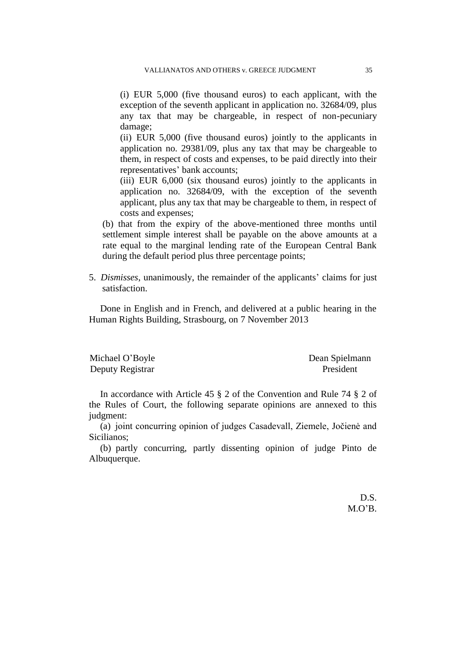(i) EUR 5,000 (five thousand euros) to each applicant, with the exception of the seventh applicant in application no. 32684/09, plus any tax that may be chargeable, in respect of non-pecuniary damage;

(ii) EUR 5,000 (five thousand euros) jointly to the applicants in application no. 29381/09, plus any tax that may be chargeable to them, in respect of costs and expenses, to be paid directly into their representatives' bank accounts;

(iii) EUR 6,000 (six thousand euros) jointly to the applicants in application no. 32684/09, with the exception of the seventh applicant, plus any tax that may be chargeable to them, in respect of costs and expenses;

(b) that from the expiry of the above-mentioned three months until settlement simple interest shall be payable on the above amounts at a rate equal to the marginal lending rate of the European Central Bank during the default period plus three percentage points;

5. *Dismisses*, unanimously, the remainder of the applicants' claims for just satisfaction.

Done in English and in French, and delivered at a public hearing in the Human Rights Building, Strasbourg, on 7 November 2013

| Michael O'Boyle  | Dean Spielmann |
|------------------|----------------|
| Deputy Registrar | President      |

In accordance with Article 45 § 2 of the Convention and Rule 74 § 2 of the Rules of Court, the following separate opinions are annexed to this judgment:

(a) joint concurring opinion of judges Casadevall, Ziemele, Jočienė and Sicilianos;

(b) partly concurring, partly dissenting opinion of judge Pinto de Albuquerque.

> D.S. M.O'B.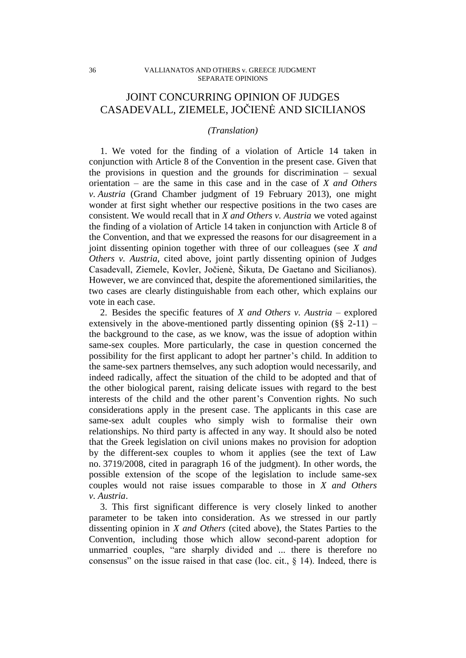# JOINT CONCURRING OPINION OF JUDGES CASADEVALL, ZIEMELE, JOČIENĖ AND SICILIANOS

## *(Translation)*

1. We voted for the finding of a violation of Article 14 taken in conjunction with Article 8 of the Convention in the present case. Given that the provisions in question and the grounds for discrimination – sexual orientation – are the same in this case and in the case of *X and Others v. Austria* (Grand Chamber judgment of 19 February 2013), one might wonder at first sight whether our respective positions in the two cases are consistent. We would recall that in *X and Others v. Austria* we voted against the finding of a violation of Article 14 taken in conjunction with Article 8 of the Convention, and that we expressed the reasons for our disagreement in a joint dissenting opinion together with three of our colleagues (see *X and Others v. Austria*, cited above, joint partly dissenting opinion of Judges Casadevall, Ziemele, Kovler, Jočienė, Šikuta, De Gaetano and Sicilianos). However, we are convinced that, despite the aforementioned similarities, the two cases are clearly distinguishable from each other, which explains our vote in each case.

2. Besides the specific features of *X and Others v. Austria* – explored extensively in the above-mentioned partly dissenting opinion  $(\S$ § 2-11) – the background to the case, as we know, was the issue of adoption within same-sex couples. More particularly, the case in question concerned the possibility for the first applicant to adopt her partner's child. In addition to the same-sex partners themselves, any such adoption would necessarily, and indeed radically, affect the situation of the child to be adopted and that of the other biological parent, raising delicate issues with regard to the best interests of the child and the other parent's Convention rights. No such considerations apply in the present case. The applicants in this case are same-sex adult couples who simply wish to formalise their own relationships. No third party is affected in any way. It should also be noted that the Greek legislation on civil unions makes no provision for adoption by the different-sex couples to whom it applies (see the text of Law no. 3719/2008, cited in paragraph 16 of the judgment). In other words, the possible extension of the scope of the legislation to include same-sex couples would not raise issues comparable to those in *X and Others v. Austria*.

3. This first significant difference is very closely linked to another parameter to be taken into consideration. As we stressed in our partly dissenting opinion in *X and Others* (cited above), the States Parties to the Convention, including those which allow second-parent adoption for unmarried couples, "are sharply divided and ... there is therefore no consensus" on the issue raised in that case (loc. cit., § 14). Indeed, there is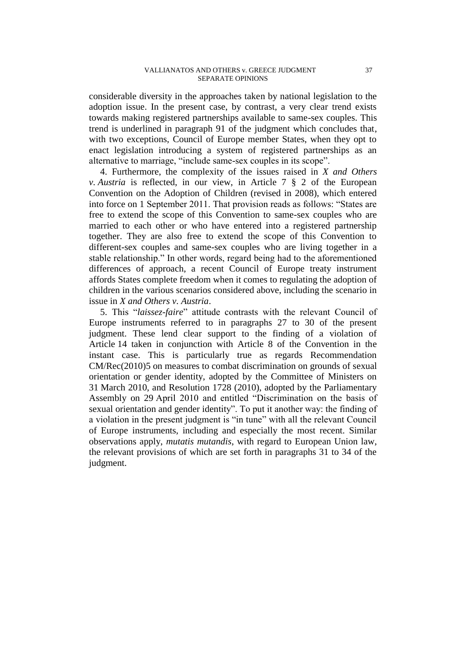considerable diversity in the approaches taken by national legislation to the adoption issue. In the present case, by contrast, a very clear trend exists towards making registered partnerships available to same-sex couples. This trend is underlined in paragraph 91 of the judgment which concludes that, with two exceptions, Council of Europe member States, when they opt to enact legislation introducing a system of registered partnerships as an alternative to marriage, "include same-sex couples in its scope".

4. Furthermore, the complexity of the issues raised in *X and Others v. Austria* is reflected, in our view, in Article 7 § 2 of the European Convention on the Adoption of Children (revised in 2008), which entered into force on 1 September 2011. That provision reads as follows: "States are free to extend the scope of this Convention to same-sex couples who are married to each other or who have entered into a registered partnership together. They are also free to extend the scope of this Convention to different-sex couples and same-sex couples who are living together in a stable relationship." In other words, regard being had to the aforementioned differences of approach, a recent Council of Europe treaty instrument affords States complete freedom when it comes to regulating the adoption of children in the various scenarios considered above, including the scenario in issue in *X and Others v. Austria*.

5. This "*laissez-faire*" attitude contrasts with the relevant Council of Europe instruments referred to in paragraphs 27 to 30 of the present judgment. These lend clear support to the finding of a violation of Article 14 taken in conjunction with Article 8 of the Convention in the instant case. This is particularly true as regards Recommendation CM/Rec(2010)5 on measures to combat discrimination on grounds of sexual orientation or gender identity, adopted by the Committee of Ministers on 31 March 2010, and Resolution 1728 (2010), adopted by the Parliamentary Assembly on 29 April 2010 and entitled "Discrimination on the basis of sexual orientation and gender identity". To put it another way: the finding of a violation in the present judgment is "in tune" with all the relevant Council of Europe instruments, including and especially the most recent. Similar observations apply, *mutatis mutandis*, with regard to European Union law, the relevant provisions of which are set forth in paragraphs 31 to 34 of the judgment.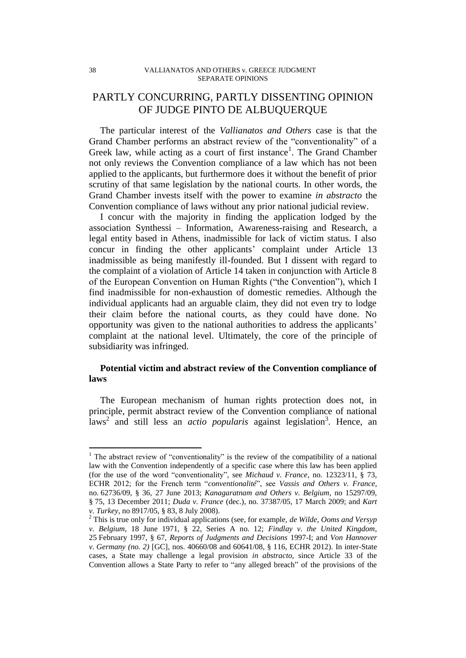# PARTLY CONCURRING, PARTLY DISSENTING OPINION OF JUDGE PINTO DE ALBUQUERQUE

The particular interest of the *Vallianatos and Others* case is that the Grand Chamber performs an abstract review of the "conventionality" of a Greek law, while acting as a court of first instance<sup>1</sup>. The Grand Chamber not only reviews the Convention compliance of a law which has not been applied to the applicants, but furthermore does it without the benefit of prior scrutiny of that same legislation by the national courts. In other words, the Grand Chamber invests itself with the power to examine *in abstracto* the Convention compliance of laws without any prior national judicial review.

I concur with the majority in finding the application lodged by the association Synthessi – Information, Awareness-raising and Research, a legal entity based in Athens, inadmissible for lack of victim status. I also concur in finding the other applicants' complaint under Article 13 inadmissible as being manifestly ill-founded. But I dissent with regard to the complaint of a violation of Article 14 taken in conjunction with Article 8 of the European Convention on Human Rights ("the Convention"), which I find inadmissible for non-exhaustion of domestic remedies. Although the individual applicants had an arguable claim, they did not even try to lodge their claim before the national courts, as they could have done. No opportunity was given to the national authorities to address the applicants' complaint at the national level. Ultimately, the core of the principle of subsidiarity was infringed.

# **Potential victim and abstract review of the Convention compliance of laws**

The European mechanism of human rights protection does not, in principle, permit abstract review of the Convention compliance of national laws<sup>2</sup> and still less an *actio popularis* against legislation<sup>3</sup>. Hence, an

<sup>&</sup>lt;sup>1</sup> The abstract review of "conventionality" is the review of the compatibility of a national law with the Convention independently of a specific case where this law has been applied (for the use of the word "conventionality", see *Michaud v. France*, no. 12323/11, § 73, ECHR 2012; for the French term "*conventionalité*", see *Vassis and Others v. France*, no. 62736/09, § 36, 27 June 2013; *Kanagaratnam and Others v. Belgium*, no 15297/09, § 75, 13 December 2011; *Duda v. France* (dec.), no. 37387/05, 17 March 2009; and *Kart v. Turkey*, no 8917/05, § 83, 8 July 2008).

<sup>2</sup> This is true only for individual applications (see, for example, *de Wilde, Ooms and Versyp v. Belgium*, 18 June 1971, § 22, Series A no. 12; *Findlay v. the United Kingdom*, 25 February 1997, § 67, *Reports of Judgments and Decisions* 1997-I; and *Von Hannover v. Germany (no. 2)* [GC], nos. 40660/08 and 60641/08, § 116, ECHR 2012). In inter-State cases, a State may challenge a legal provision *in abstracto*, since Article 33 of the Convention allows a State Party to refer to "any alleged breach" of the provisions of the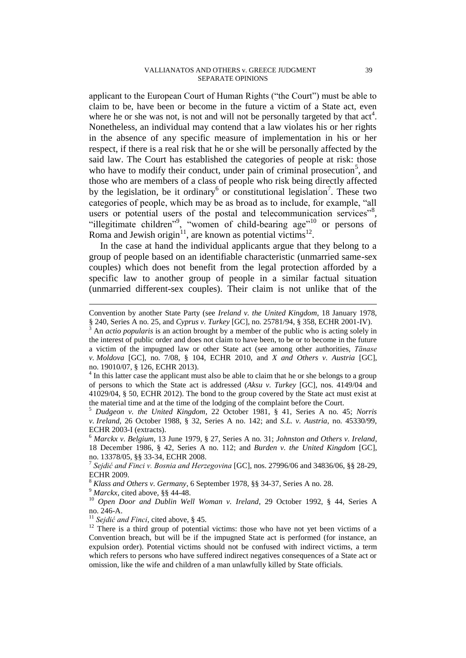#### VALLIANATOS AND OTHERS v. GREECE JUDGMENT 39 SEPARATE OPINIONS

applicant to the European Court of Human Rights ("the Court") must be able to claim to be, have been or become in the future a victim of a State act, even where he or she was not, is not and will not be personally targeted by that  $act<sup>4</sup>$ . Nonetheless, an individual may contend that a law violates his or her rights in the absence of any specific measure of implementation in his or her respect, if there is a real risk that he or she will be personally affected by the said law. The Court has established the categories of people at risk: those who have to modify their conduct, under pain of criminal prosecution<sup>5</sup>, and those who are members of a class of people who risk being directly affected by the legislation, be it ordinary<sup>6</sup> or constitutional legislation<sup>7</sup>. These two categories of people, which may be as broad as to include, for example, "all users or potential users of the postal and telecommunication services"<sup>8</sup>, "illegitimate children", "women of child-bearing age"<sup>10</sup> or persons of Roma and Jewish origin<sup>11</sup>, are known as potential victims<sup>12</sup>.

In the case at hand the individual applicants argue that they belong to a group of people based on an identifiable characteristic (unmarried same-sex couples) which does not benefit from the legal protection afforded by a specific law to another group of people in a similar factual situation (unmarried different-sex couples). Their claim is not unlike that of the

<sup>5</sup> *Dudgeon v. the United Kingdom*, 22 October 1981, § 41, Series A no. 45; *Norris v. Ireland*, 26 October 1988, § 32, Series A no. 142; and *S.L. v. Austria*, no. 45330/99, ECHR 2003-I (extracts).

<sup>6</sup> *Marckx v. Belgium*, 13 June 1979, § 27, Series A no. 31; *Johnston and Others v. Ireland*, 18 December 1986, § 42, Series A no. 112; and *Burden v. the United Kingdom* [GC], no. 13378/05, §§ 33-34, ECHR 2008.

7 *Sejdić and Finci v. Bosnia and Herzegovina* [GC], nos. 27996/06 and 34836/06, §§ 28-29, ECHR 2009.

<sup>8</sup> *Klass and Others v. Germany*, 6 September 1978, §§ 34-37, Series A no. 28.

<sup>9</sup> *Marckx*, cited above, §§ 44-48.

 $\overline{a}$ 

<sup>10</sup> *Open Door and Dublin Well Woman v. Ireland*, 29 October 1992, § 44, Series A no. 246-A.

<sup>11</sup> Sejdić and Finci, cited above, § 45.

Convention by another State Party (see *Ireland v. the United Kingdom*, 18 January 1978, § 240, Series A no. 25, and *Cyprus v. Turkey* [GC], no. 25781/94, § 358, ECHR 2001-IV).

<sup>3</sup> An *actio popularis* is an action brought by a member of the public who is acting solely in the interest of public order and does not claim to have been, to be or to become in the future a victim of the impugned law or other State act (see among other authorities, *Tănase v. Moldova* [GC], no. 7/08, § 104, ECHR 2010, and *X and Others v. Austria* [GC], no. 19010/07, § 126, ECHR 2013).

<sup>4</sup> In this latter case the applicant must also be able to claim that he or she belongs to a group of persons to which the State act is addressed (*Aksu v. Turkey* [GC], nos. 4149/04 and 41029/04, § 50, ECHR 2012). The bond to the group covered by the State act must exist at the material time and at the time of the lodging of the complaint before the Court.

<sup>&</sup>lt;sup>12</sup> There is a third group of potential victims: those who have not yet been victims of a Convention breach, but will be if the impugned State act is performed (for instance, an expulsion order). Potential victims should not be confused with indirect victims, a term which refers to persons who have suffered indirect negatives consequences of a State act or omission, like the wife and children of a man unlawfully killed by State officials.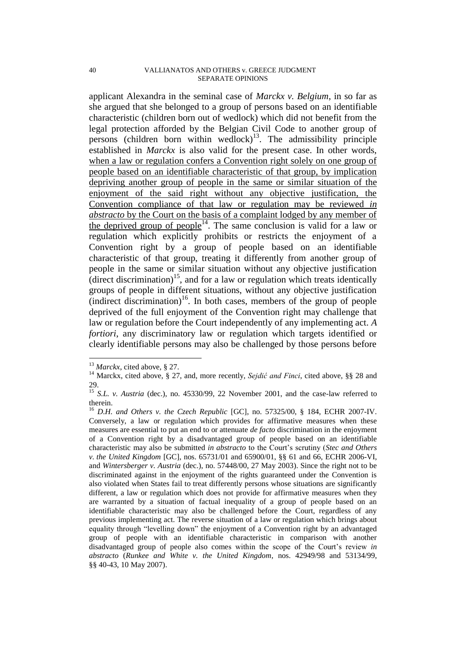applicant Alexandra in the seminal case of *Marckx v. Belgium*, in so far as she argued that she belonged to a group of persons based on an identifiable characteristic (children born out of wedlock) which did not benefit from the legal protection afforded by the Belgian Civil Code to another group of persons (children born within wedlock)<sup>13</sup>. The admissibility principle established in *Marckx* is also valid for the present case. In other words, when a law or regulation confers a Convention right solely on one group of people based on an identifiable characteristic of that group, by implication depriving another group of people in the same or similar situation of the enjoyment of the said right without any objective justification, the Convention compliance of that law or regulation may be reviewed *in abstracto* by the Court on the basis of a complaint lodged by any member of the deprived group of people<sup>14</sup>. The same conclusion is valid for a law or regulation which explicitly prohibits or restricts the enjoyment of a Convention right by a group of people based on an identifiable characteristic of that group, treating it differently from another group of people in the same or similar situation without any objective justification (direct discrimination)<sup>15</sup>, and for a law or regulation which treats identically groups of people in different situations, without any objective justification (indirect discrimination)<sup>16</sup>. In both cases, members of the group of people deprived of the full enjoyment of the Convention right may challenge that law or regulation before the Court independently of any implementing act. *A fortiori*, any discriminatory law or regulation which targets identified or clearly identifiable persons may also be challenged by those persons before

<sup>&</sup>lt;sup>13</sup> *Marckx*, cited above, § 27.

<sup>14</sup> Marckx, cited above, § 27, and, more recently, *Sejdić and Finci*, cited above, §§ 28 and 29.

<sup>&</sup>lt;sup>15</sup> *S.L. v. Austria* (dec.), no. 45330/99, 22 November 2001, and the case-law referred to therein.

<sup>16</sup> *D.H. and Others v. the Czech Republic* [GC], no. 57325/00, § 184, ECHR 2007-IV. Conversely, a law or regulation which provides for affirmative measures when these measures are essential to put an end to or attenuate *de facto* discrimination in the enjoyment of a Convention right by a disadvantaged group of people based on an identifiable characteristic may also be submitted *in abstracto* to the Court's scrutiny (*Stec and Others v. the United Kingdom* [GC], nos. 65731/01 and 65900/01, §§ 61 and 66, ECHR 2006-VI, and *Wintersberger v. Austria* (dec.), no. 57448/00, 27 May 2003). Since the right not to be discriminated against in the enjoyment of the rights guaranteed under the Convention is also violated when States fail to treat differently persons whose situations are significantly different, a law or regulation which does not provide for affirmative measures when they are warranted by a situation of factual inequality of a group of people based on an identifiable characteristic may also be challenged before the Court, regardless of any previous implementing act. The reverse situation of a law or regulation which brings about equality through "levelling down" the enjoyment of a Convention right by an advantaged group of people with an identifiable characteristic in comparison with another disadvantaged group of people also comes within the scope of the Court's review *in abstracto* (*Runkee and White v. the United Kingdom*, nos. 42949/98 and 53134/99, §§ 40-43, 10 May 2007).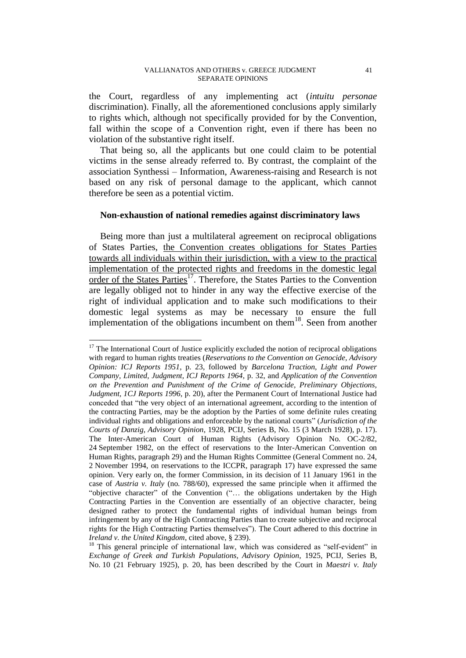#### VALLIANATOS AND OTHERS v. GREECE JUDGMENT 41 SEPARATE OPINIONS

the Court, regardless of any implementing act (*intuitu personae* discrimination). Finally, all the aforementioned conclusions apply similarly to rights which, although not specifically provided for by the Convention, fall within the scope of a Convention right, even if there has been no violation of the substantive right itself.

That being so, all the applicants but one could claim to be potential victims in the sense already referred to. By contrast, the complaint of the association Synthessi – Information, Awareness-raising and Research is not based on any risk of personal damage to the applicant, which cannot therefore be seen as a potential victim.

## **Non-exhaustion of national remedies against discriminatory laws**

Being more than just a multilateral agreement on reciprocal obligations of States Parties, the Convention creates obligations for States Parties towards all individuals within their jurisdiction, with a view to the practical implementation of the protected rights and freedoms in the domestic legal order of the States Parties<sup>17</sup>. Therefore, the States Parties to the Convention are legally obliged not to hinder in any way the effective exercise of the right of individual application and to make such modifications to their domestic legal systems as may be necessary to ensure the full implementation of the obligations incumbent on them<sup>18</sup>. Seen from another

 $17$  The International Court of Justice explicitly excluded the notion of reciprocal obligations with regard to human rights treaties (*Reservations to the Convention on Genocide, Advisory Opinion: ICJ Reports 1951*, p. 23, followed by *Barcelona Traction, Light and Power Company, Limited, Judgment, ICJ Reports 1964*, p. 32, and *Application of the Convention on the Prevention and Punishment of the Crime of Genocide, Preliminary Objections, Judgment, 1CJ Reports 1996*, p. 20), after the Permanent Court of International Justice had conceded that "the very object of an international agreement, according to the intention of the contracting Parties, may be the adoption by the Parties of some definite rules creating individual rights and obligations and enforceable by the national courts" (*Jurisdiction of the Courts of Danzig, Advisory Opinion*, 1928, PCIJ, Series B, No. 15 (3 March 1928), p. 17). The Inter-American Court of Human Rights (Advisory Opinion No. OC-2/82, 24 September 1982, on the effect of reservations to the Inter-American Convention on Human Rights, paragraph 29) and the Human Rights Committee (General Comment no. 24, 2 November 1994, on reservations to the ICCPR, paragraph 17) have expressed the same opinion. Very early on, the former Commission, in its decision of 11 January 1961 in the case of *Austria v. Italy* (no. 788/60), expressed the same principle when it affirmed the "objective character" of the Convention ("… the obligations undertaken by the High Contracting Parties in the Convention are essentially of an objective character, being designed rather to protect the fundamental rights of individual human beings from infringement by any of the High Contracting Parties than to create subjective and reciprocal rights for the High Contracting Parties themselves"). The Court adhered to this doctrine in *Ireland v. the United Kingdom*, cited above, § 239).

<sup>&</sup>lt;sup>18</sup> This general principle of international law, which was considered as "self-evident" in *Exchange of Greek and Turkish Populations, Advisory Opinion,* 1925, PCIJ, Series B, No. 10 (21 February 1925), p. 20, has been described by the Court in *Maestri v. Italy*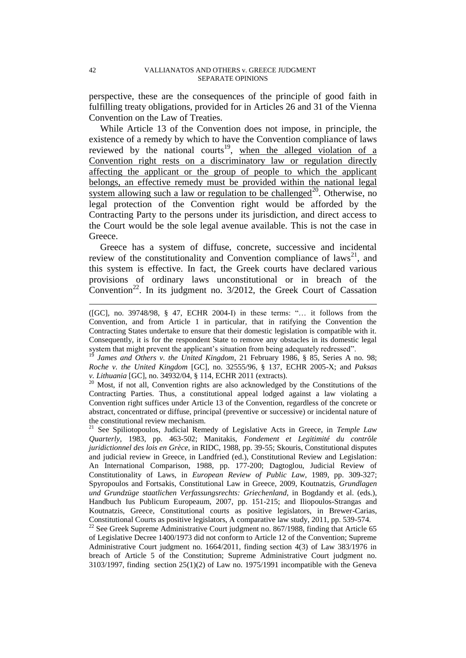perspective, these are the consequences of the principle of good faith in fulfilling treaty obligations, provided for in Articles 26 and 31 of the Vienna Convention on the Law of Treaties.

While Article 13 of the Convention does not impose, in principle, the existence of a remedy by which to have the Convention compliance of laws reviewed by the national courts<sup>19</sup>, when the alleged violation of a Convention right rests on a discriminatory law or regulation directly affecting the applicant or the group of people to which the applicant belongs, an effective remedy must be provided within the national legal system allowing such a law or regulation to be challenged<sup>20</sup>. Otherwise, no legal protection of the Convention right would be afforded by the Contracting Party to the persons under its jurisdiction, and direct access to the Court would be the sole legal avenue available. This is not the case in Greece.

Greece has a system of diffuse, concrete, successive and incidental review of the constitutionality and Convention compliance of laws<sup>21</sup>, and this system is effective. In fact, the Greek courts have declared various provisions of ordinary laws unconstitutional or in breach of the Convention<sup>22</sup>. In its judgment no.  $3/2012$ , the Greek Court of Cassation

 $20$  Most, if not all, Convention rights are also acknowledged by the Constitutions of the Contracting Parties. Thus, a constitutional appeal lodged against a law violating a Convention right suffices under Article 13 of the Convention, regardless of the concrete or abstract, concentrated or diffuse, principal (preventive or successive) or incidental nature of the constitutional review mechanism.

<sup>21</sup> See Spiliotopoulos, Judicial Remedy of Legislative Acts in Greece, in *Temple Law Quarterly*, 1983, pp. 463-502; Manitakis, *Fondement et Legitimité du contrôle juridictionnel des lois en Grèce*, in RIDC, 1988, pp. 39-55; Skouris, Constitutional disputes and judicial review in Greece, in Landfried (ed.), Constitutional Review and Legislation: An International Comparison, 1988, pp. 177-200; Dagtoglou, Judicial Review of Constitutionality of Laws, in *European Review of Public Law*, 1989, pp. 309-327; Spyropoulos and Fortsakis, Constitutional Law in Greece, 2009, Koutnatzis, *Grundlagen und Grundzüge staatlichen Verfassungsrechts: Griechenland*, in Bogdandy et al. (eds.), Handbuch Ius Publicum Europeaum, 2007, pp. 151-215; and Iliopoulos-Strangas and Koutnatzis, Greece, Constitutional courts as positive legislators, in Brewer-Carias, Constitutional Courts as positive legislators, A comparative law study, 2011, pp. 539-574.

<sup>22</sup> See Greek Supreme Administrative Court judgment no. 867/1988, finding that Article 65 of Legislative Decree 1400/1973 did not conform to Article 12 of the Convention; Supreme Administrative Court judgment no. 1664/2011, finding section 4(3) of Law 383/1976 in breach of Article 5 of the Constitution; Supreme Administrative Court judgment no.  $3103/1997$ , finding section  $25(1)(2)$  of Law no. 1975/1991 incompatible with the Geneva

<sup>([</sup>GC], no. 39748/98, § 47, ECHR 2004-I) in these terms: "… it follows from the Convention, and from Article 1 in particular, that in ratifying the Convention the Contracting States undertake to ensure that their domestic legislation is compatible with it. Consequently, it is for the respondent State to remove any obstacles in its domestic legal system that might prevent the applicant's situation from being adequately redressed".

<sup>19</sup> *James and Others v. the United Kingdom*, 21 February 1986, § 85, Series A no. 98; *Roche v. the United Kingdom* [GC], no. 32555/96, § 137, ECHR 2005-X; and *Paksas v. Lithuania* [GC], no. 34932/04, § 114, ECHR 2011 (extracts).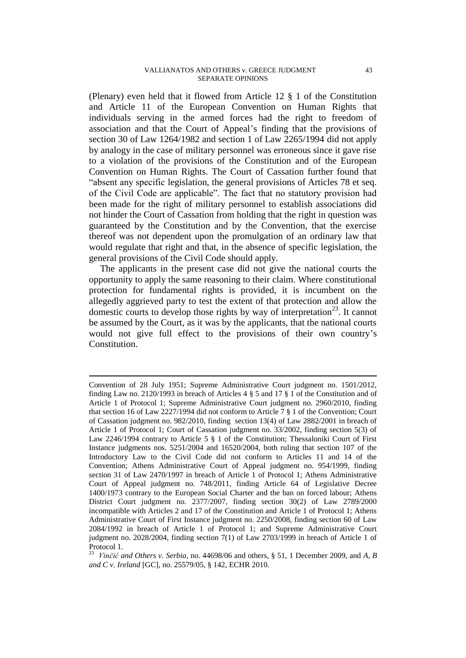#### VALLIANATOS AND OTHERS v. GREECE JUDGMENT 43 SEPARATE OPINIONS

(Plenary) even held that it flowed from Article 12 § 1 of the Constitution and Article 11 of the European Convention on Human Rights that individuals serving in the armed forces had the right to freedom of association and that the Court of Appeal's finding that the provisions of section 30 of Law 1264/1982 and section 1 of Law 2265/1994 did not apply by analogy in the case of military personnel was erroneous since it gave rise to a violation of the provisions of the Constitution and of the European Convention on Human Rights. The Court of Cassation further found that "absent any specific legislation, the general provisions of Articles 78 et seq. of the Civil Code are applicable". The fact that no statutory provision had been made for the right of military personnel to establish associations did not hinder the Court of Cassation from holding that the right in question was guaranteed by the Constitution and by the Convention, that the exercise thereof was not dependent upon the promulgation of an ordinary law that would regulate that right and that, in the absence of specific legislation, the general provisions of the Civil Code should apply.

The applicants in the present case did not give the national courts the opportunity to apply the same reasoning to their claim. Where constitutional protection for fundamental rights is provided, it is incumbent on the allegedly aggrieved party to test the extent of that protection and allow the domestic courts to develop those rights by way of interpretation<sup>23</sup>. It cannot be assumed by the Court, as it was by the applicants, that the national courts would not give full effect to the provisions of their own country's Constitution.

Convention of 28 July 1951; Supreme Administrative Court judgment no. 1501/2012, finding Law no. 2120/1993 in breach of Articles 4 § 5 and 17 § 1 of the Constitution and of Article 1 of Protocol 1; Supreme Administrative Court judgment no. 2960/2010, finding that section 16 of Law 2227/1994 did not conform to Article 7 § 1 of the Convention; Court of Cassation judgment no. 982/2010, finding section 13(4) of Law 2882/2001 in breach of Article 1 of Protocol 1; Court of Cassation judgment no. 33/2002, finding section 5(3) of Law 2246/1994 contrary to Article 5 § 1 of the Constitution; Thessaloniki Court of First Instance judgments nos. 5251/2004 and 16520/2004, both ruling that section 107 of the Introductory Law to the Civil Code did not conform to Articles 11 and 14 of the Convention; Athens Administrative Court of Appeal judgment no. 954/1999, finding section 31 of Law 2470/1997 in breach of Article 1 of Protocol 1; Athens Administrative Court of Appeal judgment no. 748/2011, finding Article 64 of Legislative Decree 1400/1973 contrary to the European Social Charter and the ban on forced labour; Athens District Court judgment no. 2377/2007, finding section 30(2) of Law 2789/2000 incompatible with Articles 2 and 17 of the Constitution and Article 1 of Protocol 1; Athens Administrative Court of First Instance judgment no. 2250/2008, finding section 60 of Law 2084/1992 in breach of Article 1 of Protocol 1; and Supreme Administrative Court judgment no. 2028/2004, finding section 7(1) of Law 2703/1999 in breach of Article 1 of Protocol 1.

<sup>23</sup> *Vinčić and Others v. Serbia*, no. 44698/06 and others, § 51, 1 December 2009, and *A, B and C v. Ireland* [GC], no. 25579/05, § 142, ECHR 2010.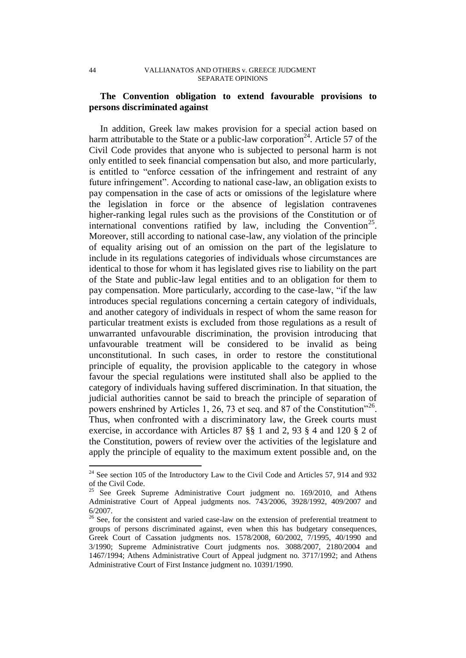# **The Convention obligation to extend favourable provisions to persons discriminated against**

In addition, Greek law makes provision for a special action based on harm attributable to the State or a public-law corporation<sup>24</sup>. Article 57 of the Civil Code provides that anyone who is subjected to personal harm is not only entitled to seek financial compensation but also, and more particularly, is entitled to "enforce cessation of the infringement and restraint of any future infringement". According to national case-law, an obligation exists to pay compensation in the case of acts or omissions of the legislature where the legislation in force or the absence of legislation contravenes higher-ranking legal rules such as the provisions of the Constitution or of international conventions ratified by law, including the Convention<sup>25</sup>. Moreover, still according to national case-law, any violation of the principle of equality arising out of an omission on the part of the legislature to include in its regulations categories of individuals whose circumstances are identical to those for whom it has legislated gives rise to liability on the part of the State and public-law legal entities and to an obligation for them to pay compensation. More particularly, according to the case-law, "if the law introduces special regulations concerning a certain category of individuals, and another category of individuals in respect of whom the same reason for particular treatment exists is excluded from those regulations as a result of unwarranted unfavourable discrimination, the provision introducing that unfavourable treatment will be considered to be invalid as being unconstitutional. In such cases, in order to restore the constitutional principle of equality, the provision applicable to the category in whose favour the special regulations were instituted shall also be applied to the category of individuals having suffered discrimination. In that situation, the judicial authorities cannot be said to breach the principle of separation of powers enshrined by Articles 1, 26, 73 et seq. and 87 of the Constitution<sup>326</sup>. Thus, when confronted with a discriminatory law, the Greek courts must exercise, in accordance with Articles 87 §§ 1 and 2, 93 § 4 and 120 § 2 of the Constitution, powers of review over the activities of the legislature and apply the principle of equality to the maximum extent possible and, on the

 $24$  See section 105 of the Introductory Law to the Civil Code and Articles 57, 914 and 932 of the Civil Code.

<sup>&</sup>lt;sup>25</sup> See Greek Supreme Administrative Court judgment no. 169/2010, and Athens Administrative Court of Appeal judgments nos. 743/2006, 3928/1992, 409/2007 and 6/2007.

<sup>&</sup>lt;sup>26</sup> See, for the consistent and varied case-law on the extension of preferential treatment to groups of persons discriminated against, even when this has budgetary consequences, Greek Court of Cassation judgments nos. 1578/2008, 60/2002, 7/1995, 40/1990 and 3/1990; Supreme Administrative Court judgments nos. 3088/2007, 2180/2004 and 1467/1994; Athens Administrative Court of Appeal judgment no. 3717/1992; and Athens Administrative Court of First Instance judgment no. 10391/1990.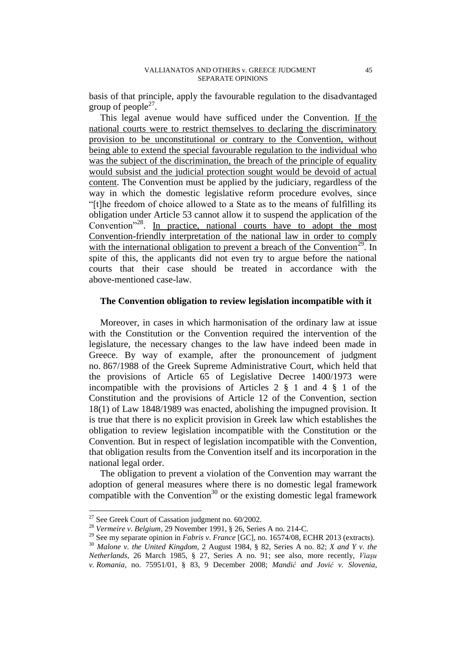basis of that principle, apply the favourable regulation to the disadvantaged group of people<sup>27</sup>.

This legal avenue would have sufficed under the Convention. If the national courts were to restrict themselves to declaring the discriminatory provision to be unconstitutional or contrary to the Convention, without being able to extend the special favourable regulation to the individual who was the subject of the discrimination, the breach of the principle of equality would subsist and the judicial protection sought would be devoid of actual content. The Convention must be applied by the judiciary, regardless of the way in which the domestic legislative reform procedure evolves, since "[t]he freedom of choice allowed to a State as to the means of fulfilling its obligation under Article 53 cannot allow it to suspend the application of the Convention<sup>"28</sup>. In practice, national courts have to adopt the most Convention-friendly interpretation of the national law in order to comply with the international obligation to prevent a breach of the Convention<sup>29</sup>. In spite of this, the applicants did not even try to argue before the national courts that their case should be treated in accordance with the above-mentioned case-law.

# **The Convention obligation to review legislation incompatible with it**

Moreover, in cases in which harmonisation of the ordinary law at issue with the Constitution or the Convention required the intervention of the legislature, the necessary changes to the law have indeed been made in Greece. By way of example, after the pronouncement of judgment no. 867/1988 of the Greek Supreme Administrative Court, which held that the provisions of Article 65 of Legislative Decree 1400/1973 were incompatible with the provisions of Articles 2 § 1 and 4 § 1 of the Constitution and the provisions of Article 12 of the Convention, section 18(1) of Law 1848/1989 was enacted, abolishing the impugned provision. It is true that there is no explicit provision in Greek law which establishes the obligation to review legislation incompatible with the Constitution or the Convention. But in respect of legislation incompatible with the Convention, that obligation results from the Convention itself and its incorporation in the national legal order.

The obligation to prevent a violation of the Convention may warrant the adoption of general measures where there is no domestic legal framework compatible with the Convention $30$  or the existing domestic legal framework

 $27$  See Greek Court of Cassation judgment no. 60/2002.

<sup>28</sup> *Vermeire v. Belgium*, 29 November 1991, § 26, Series A no. 214-C.

<sup>29</sup> See my separate opinion in *Fabris v. France* [GC], no. 16574/08, ECHR 2013 (extracts).

<sup>30</sup> *Malone v. the United Kingdom*, 2 August 1984, § 82, Series A no. 82; *X and Y v. the Netherlands*, 26 March 1985, § 27, Series A no. 91; see also, more recently, *Viaşu v. Romania*, no. 75951/01, § 83, 9 December 2008; *Mandić and Jović v. Slovenia*,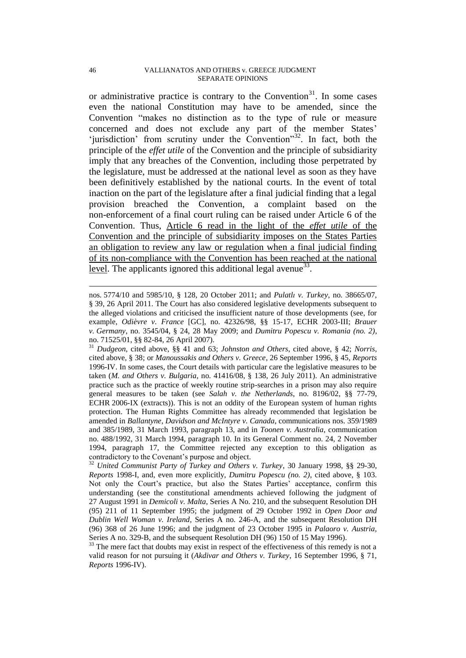#### 46 VALLIANATOS AND OTHERS v. GREECE JUDGMENT SEPARATE OPINIONS

or administrative practice is contrary to the Convention<sup>31</sup>. In some cases even the national Constitution may have to be amended, since the Convention "makes no distinction as to the type of rule or measure concerned and does not exclude any part of the member States' 'jurisdiction' from scrutiny under the Convention"<sup>32</sup>. In fact, both the principle of the *effet utile* of the Convention and the principle of subsidiarity imply that any breaches of the Convention, including those perpetrated by the legislature, must be addressed at the national level as soon as they have been definitively established by the national courts. In the event of total inaction on the part of the legislature after a final judicial finding that a legal provision breached the Convention, a complaint based on the non-enforcement of a final court ruling can be raised under Article 6 of the Convention. Thus, Article 6 read in the light of the *effet utile* of the Convention and the principle of subsidiarity imposes on the States Parties an obligation to review any law or regulation when a final judicial finding of its non-compliance with the Convention has been reached at the national level. The applicants ignored this additional legal avenue<sup>33</sup>.

nos. 5774/10 and 5985/10, § 128, 20 October 2011; and *Pulatlı v. Turkey*, no. 38665/07, § 39, 26 April 2011. The Court has also considered legislative developments subsequent to the alleged violations and criticised the insufficient nature of those developments (see, for example, *Odièvre v. France* [GC], no. 42326/98, §§ 15-17, ECHR 2003-III; *Brauer v. Germany*, no. 3545/04, § 24, 28 May 2009; and *Dumitru Popescu v. Romania (no. 2)*, no. 71525/01, §§ 82-84, 26 April 2007).

<sup>31</sup> *Dudgeon*, cited above, §§ 41 and 63; *Johnston and Others*, cited above, § 42; *Norris*, cited above, § 38; or *Manoussakis and Others v. Greece*, 26 September 1996, § 45, *Reports*  1996-IV. In some cases, the Court details with particular care the legislative measures to be taken (*M. and Others v. Bulgaria*, no. 41416/08, § 138, 26 July 2011). An administrative practice such as the practice of weekly routine strip-searches in a prison may also require general measures to be taken (see *Salah v. the Netherlands*, no. 8196/02, §§ 77-79, ECHR 2006-IX (extracts)). This is not an oddity of the European system of human rights protection. The Human Rights Committee has already recommended that legislation be amended in *Ballantyne, Davidson and McIntyre v. Canada*, communications nos. 359/1989 and 385/1989, 31 March 1993, paragraph 13, and in *Toonen v. Australia*, communication no. 488/1992, 31 March 1994, paragraph 10. In its General Comment no. 24, 2 November 1994, paragraph 17, the Committee rejected any exception to this obligation as contradictory to the Covenant's purpose and object.

<sup>32</sup> *United Communist Party of Turkey and Others v. Turkey*, 30 January 1998, §§ 29-30, *Reports* 1998-I, and, even more explicitly, *Dumitru Popescu (no. 2)*, cited above, § 103. Not only the Court's practice, but also the States Parties' acceptance, confirm this understanding (see the constitutional amendments achieved following the judgment of 27 August 1991 in *Demicoli v. Malta*, Series A No. 210, and the subsequent Resolution DH (95) 211 of 11 September 1995; the judgment of 29 October 1992 in *Open Door and Dublin Well Woman v. Ireland*, Series A no. 246-A, and the subsequent Resolution DH (96) 368 of 26 June 1996; and the judgment of 23 October 1995 in *Palaoro v. Austria*, Series A no. 329-B, and the subsequent Resolution DH (96) 150 of 15 May 1996).

<sup>&</sup>lt;sup>33</sup> The mere fact that doubts may exist in respect of the effectiveness of this remedy is not a valid reason for not pursuing it (*Akdivar and Others v. Turkey*, 16 September 1996, § 71, *Reports* 1996-IV).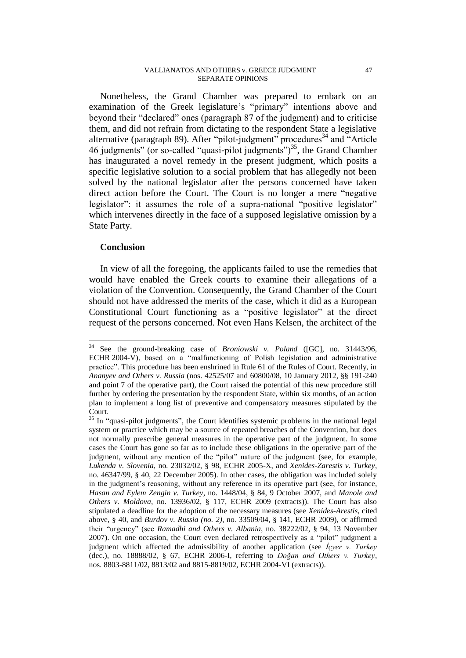#### VALLIANATOS AND OTHERS v. GREECE JUDGMENT 47 SEPARATE OPINIONS

Nonetheless, the Grand Chamber was prepared to embark on an examination of the Greek legislature's "primary" intentions above and beyond their "declared" ones (paragraph 87 of the judgment) and to criticise them, and did not refrain from dictating to the respondent State a legislative alternative (paragraph 89). After "pilot-judgment" procedures<sup>34</sup> and "Article" 46 judgments" (or so-called "quasi-pilot judgments")<sup>35</sup>, the Grand Chamber has inaugurated a novel remedy in the present judgment, which posits a specific legislative solution to a social problem that has allegedly not been solved by the national legislator after the persons concerned have taken direct action before the Court. The Court is no longer a mere "negative legislator": it assumes the role of a supra-national "positive legislator" which intervenes directly in the face of a supposed legislative omission by a State Party.

## **Conclusion**

 $\overline{a}$ 

In view of all the foregoing, the applicants failed to use the remedies that would have enabled the Greek courts to examine their allegations of a violation of the Convention. Consequently, the Grand Chamber of the Court should not have addressed the merits of the case, which it did as a European Constitutional Court functioning as a "positive legislator" at the direct request of the persons concerned. Not even Hans Kelsen, the architect of the

<sup>34</sup> See the ground-breaking case of *Broniowski v. Poland* ([GC], no. 31443/96, ECHR 2004-V), based on a "malfunctioning of Polish legislation and administrative practice". This procedure has been enshrined in Rule 61 of the Rules of Court. Recently, in *Ananyev and Others v. Russia* (nos. 42525/07 and 60800/08, 10 January 2012, §§ 191-240 and point 7 of the operative part), the Court raised the potential of this new procedure still further by ordering the presentation by the respondent State, within six months, of an action plan to implement a long list of preventive and compensatory measures stipulated by the Court.

<sup>&</sup>lt;sup>35</sup> In "quasi-pilot judgments", the Court identifies systemic problems in the national legal system or practice which may be a source of repeated breaches of the Convention, but does not normally prescribe general measures in the operative part of the judgment. In some cases the Court has gone so far as to include these obligations in the operative part of the judgment, without any mention of the "pilot" nature of the judgment (see, for example, *Lukenda v. Slovenia*, no. 23032/02, § 98, ECHR 2005-X, and *Xenides-Zarestis v. Turkey*, no. 46347/99, § 40, 22 December 2005). In other cases, the obligation was included solely in the judgment's reasoning, without any reference in its operative part (see, for instance, *Hasan and Eylem Zengin v. Turkey*, no. 1448/04, § 84, 9 October 2007, and *Manole and Others v. Moldova*, no. 13936/02, § 117, ECHR 2009 (extracts)). The Court has also stipulated a deadline for the adoption of the necessary measures (see *Xenides-Arestis*, cited above, § 40, and *Burdov v. Russia (no. 2)*, no. 33509/04, § 141, ECHR 2009), or affirmed their "urgency" (see *Ramadhi and Others v. Albania*, no. 38222/02, § 94, 13 November 2007). On one occasion, the Court even declared retrospectively as a "pilot" judgment a judgment which affected the admissibility of another application (see *İçyer v. Turkey*  (dec.), no. 18888/02, § 67, ECHR 2006-I, referring to *Doğan and Others v. Turkey*, nos. 8803-8811/02, 8813/02 and 8815-8819/02, ECHR 2004-VI (extracts)).